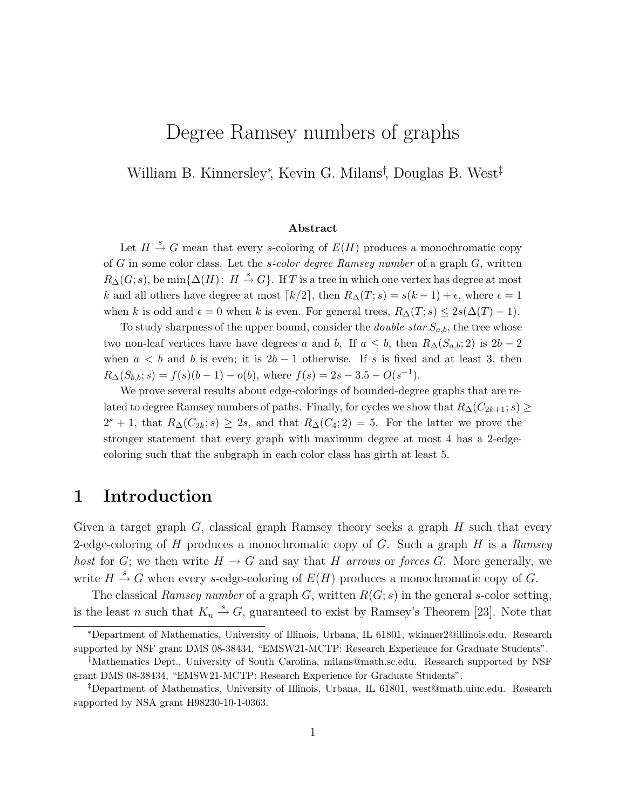# Degree Ramsey numbers of graphs

William B. Kinnersley<sup>∗</sup> , Kevin G. Milans† , Douglas B. West‡

#### Abstract

Let  $H \stackrel{s}{\rightarrow} G$  mean that every s-coloring of  $E(H)$  produces a monochromatic copy of G in some color class. Let the *s-color degree Ramsey number* of a graph  $G$ , written  $R_{\Delta}(G; s)$ , be  $\min\{\Delta(H): H \stackrel{s}{\rightarrow} G\}$ . If T is a tree in which one vertex has degree at most k and all others have degree at most  $\lceil k/2 \rceil$ , then  $R_{\Delta}(T; s) = s(k-1) + \epsilon$ , where  $\epsilon = 1$ when k is odd and  $\epsilon = 0$  when k is even. For general trees,  $R_{\Delta}(T; s) \leq 2s(\Delta(T) - 1)$ .

To study sharpness of the upper bound, consider the *double-star*  $S_{a,b}$ , the tree whose two non-leaf vertices have have degrees a and b. If  $a \leq b$ , then  $R_{\Delta}(S_{a,b}; 2)$  is  $2b-2$ when  $a < b$  and b is even; it is  $2b - 1$  otherwise. If s is fixed and at least 3, then  $R_{\Delta}(S_{b,b}; s) = f(s)(b-1) - o(b)$ , where  $f(s) = 2s - 3.5 - O(s^{-1})$ .

We prove several results about edge-colorings of bounded-degree graphs that are related to degree Ramsey numbers of paths. Finally, for cycles we show that  $R_{\Delta}(C_{2k+1}; s) \geq$  $2^{s} + 1$ , that  $R_{\Delta}(C_{2k}; s) \geq 2s$ , and that  $R_{\Delta}(C_4; 2) = 5$ . For the latter we prove the stronger statement that every graph with maximum degree at most 4 has a 2-edgecoloring such that the subgraph in each color class has girth at least 5.

### 1 Introduction

Given a target graph  $G$ , classical graph Ramsey theory seeks a graph  $H$  such that every 2-edge-coloring of H produces a monochromatic copy of G. Such a graph H is a *Ramsey host* for G; we then write  $H \to G$  and say that H *arrows* or *forces* G. More generally, we write  $H \stackrel{s}{\rightarrow} G$  when every s-edge-coloring of  $E(H)$  produces a monochromatic copy of G.

The classical *Ramsey number* of a graph G, written R(G; s) in the general s-color setting, is the least n such that  $K_n \stackrel{s}{\rightarrow} G$ , guaranteed to exist by Ramsey's Theorem [23]. Note that

<sup>∗</sup>Department of Mathematics, University of Illinois, Urbana, IL 61801, wkinner2@illinois.edu. Research supported by NSF grant DMS 08-38434, "EMSW21-MCTP: Research Experience for Graduate Students".

<sup>†</sup>Mathematics Dept., University of South Carolina, milans@math.sc.edu. Research supported by NSF grant DMS 08-38434, "EMSW21-MCTP: Research Experience for Graduate Students".

<sup>‡</sup>Department of Mathematics, University of Illinois, Urbana, IL 61801, west@math.uiuc.edu. Research supported by NSA grant H98230-10-1-0363.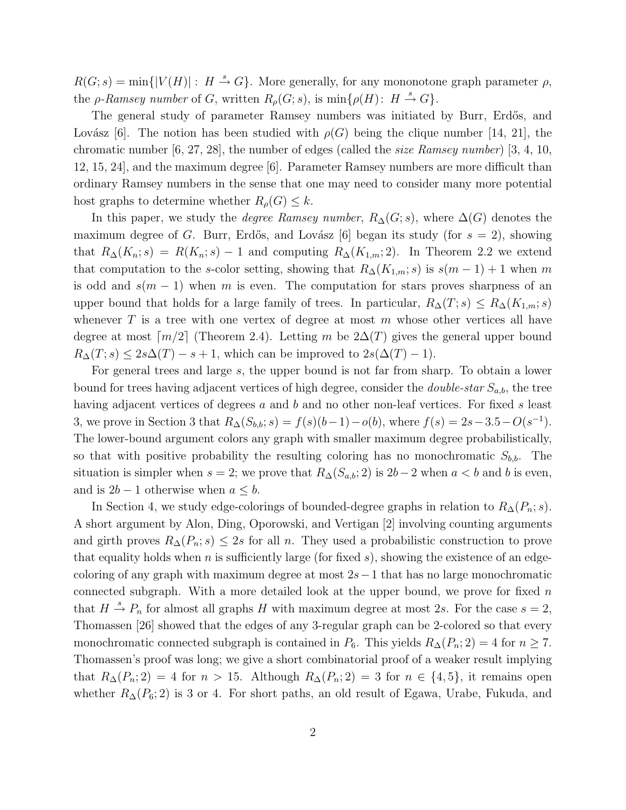$R(G; s) = \min\{|V(H)| : H \stackrel{s}{\rightarrow} G\}$ . More generally, for any mononotone graph parameter  $\rho$ , the *ρ*-Ramsey number of G, written  $R_{\rho}(G; s)$ , is  $\min\{\rho(H): H \stackrel{s}{\rightarrow} G\}.$ 

The general study of parameter Ramsey numbers was initiated by Burr, Erd˝os, and Lovász [6]. The notion has been studied with  $\rho(G)$  being the clique number [14, 21], the chromatic number [6, 27, 28], the number of edges (called the *size Ramsey number*) [3, 4, 10, 12, 15, 24], and the maximum degree [6]. Parameter Ramsey numbers are more difficult than ordinary Ramsey numbers in the sense that one may need to consider many more potential host graphs to determine whether  $R_{\rho}(G) \leq k$ .

In this paper, we study the *degree Ramsey number*,  $R_{\Delta}(G; s)$ , where  $\Delta(G)$  denotes the maximum degree of G. Burr, Erdős, and Lovász [6] began its study (for  $s = 2$ ), showing that  $R_{\Delta}(K_n; s) = R(K_n; s) - 1$  and computing  $R_{\Delta}(K_{1,m}; 2)$ . In Theorem 2.2 we extend that computation to the s-color setting, showing that  $R_{\Delta}(K_{1,m}; s)$  is  $s(m-1)+1$  when m is odd and  $s(m-1)$  when m is even. The computation for stars proves sharpness of an upper bound that holds for a large family of trees. In particular,  $R_{\Delta}(T; s) \leq R_{\Delta}(K_{1,m}; s)$ whenever  $T$  is a tree with one vertex of degree at most  $m$  whose other vertices all have degree at most  $\lceil m/2 \rceil$  (Theorem 2.4). Letting m be  $2\Delta(T)$  gives the general upper bound  $R_{\Delta}(T; s) \leq 2s\Delta(T) - s + 1$ , which can be improved to  $2s(\Delta(T) - 1)$ .

For general trees and large s, the upper bound is not far from sharp. To obtain a lower bound for trees having adjacent vertices of high degree, consider the *double-star*  $S_{a,b}$ , the tree having adjacent vertices of degrees a and b and no other non-leaf vertices. For fixed s least 3, we prove in Section 3 that  $R_{\Delta}(S_{b,b}; s) = f(s)(b-1) - o(b)$ , where  $f(s) = 2s - 3.5 - O(s^{-1})$ . The lower-bound argument colors any graph with smaller maximum degree probabilistically, so that with positive probability the resulting coloring has no monochromatic  $S_{b,b}$ . The situation is simpler when  $s = 2$ ; we prove that  $R_{\Delta}(S_{a,b}; 2)$  is  $2b-2$  when  $a < b$  and b is even, and is  $2b - 1$  otherwise when  $a \leq b$ .

In Section 4, we study edge-colorings of bounded-degree graphs in relation to  $R_{\Delta}(P_n; s)$ . A short argument by Alon, Ding, Oporowski, and Vertigan [2] involving counting arguments and girth proves  $R_{\Delta}(P_n; s) \leq 2s$  for all n. They used a probabilistic construction to prove that equality holds when n is sufficiently large (for fixed s), showing the existence of an edgecoloring of any graph with maximum degree at most  $2s-1$  that has no large monochromatic connected subgraph. With a more detailed look at the upper bound, we prove for fixed  $n$ that  $H \stackrel{s}{\rightarrow} P_n$  for almost all graphs H with maximum degree at most 2s. For the case  $s = 2$ , Thomassen [26] showed that the edges of any 3-regular graph can be 2-colored so that every monochromatic connected subgraph is contained in  $P_6$ . This yields  $R_{\Delta}(P_n; 2) = 4$  for  $n \geq 7$ . Thomassen's proof was long; we give a short combinatorial proof of a weaker result implying that  $R_{\Delta}(P_n; 2) = 4$  for  $n > 15$ . Although  $R_{\Delta}(P_n; 2) = 3$  for  $n \in \{4, 5\}$ , it remains open whether  $R_{\Delta}(P_6; 2)$  is 3 or 4. For short paths, an old result of Egawa, Urabe, Fukuda, and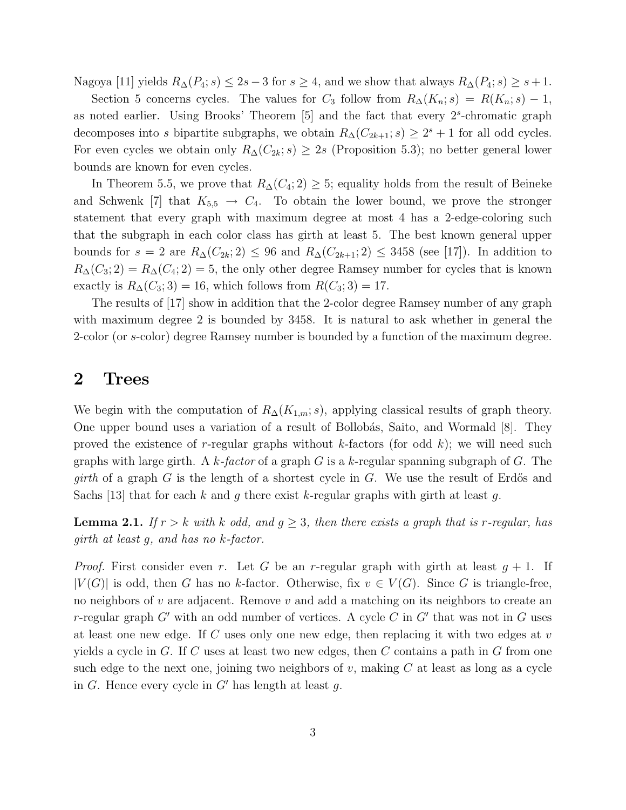Nagoya [11] yields  $R_{\Delta}(P_4; s) \leq 2s - 3$  for  $s \geq 4$ , and we show that always  $R_{\Delta}(P_4; s) \geq s + 1$ .

Section 5 concerns cycles. The values for  $C_3$  follow from  $R_{\Delta}(K_n; s) = R(K_n; s) - 1$ , as noted earlier. Using Brooks' Theorem  $[5]$  and the fact that every  $2<sup>s</sup>$ -chromatic graph decomposes into s bipartite subgraphs, we obtain  $R_{\Delta}(C_{2k+1}; s) \geq 2^s + 1$  for all odd cycles. For even cycles we obtain only  $R_{\Delta}(C_{2k}; s) \geq 2s$  (Proposition 5.3); no better general lower bounds are known for even cycles.

In Theorem 5.5, we prove that  $R_{\Delta}(C_4; 2) \geq 5$ ; equality holds from the result of Beineke and Schwenk [7] that  $K_{5,5} \rightarrow C_4$ . To obtain the lower bound, we prove the stronger statement that every graph with maximum degree at most 4 has a 2-edge-coloring such that the subgraph in each color class has girth at least 5. The best known general upper bounds for  $s = 2$  are  $R_{\Delta}(C_{2k}; 2) \leq 96$  and  $R_{\Delta}(C_{2k+1}; 2) \leq 3458$  (see [17]). In addition to  $R_{\Delta}(C_3; 2) = R_{\Delta}(C_4; 2) = 5$ , the only other degree Ramsey number for cycles that is known exactly is  $R_{\Delta}(C_3; 3) = 16$ , which follows from  $R(C_3; 3) = 17$ .

The results of [17] show in addition that the 2-color degree Ramsey number of any graph with maximum degree 2 is bounded by 3458. It is natural to ask whether in general the 2-color (or s-color) degree Ramsey number is bounded by a function of the maximum degree.

#### 2 Trees

We begin with the computation of  $R_{\Delta}(K_{1,m}; s)$ , applying classical results of graph theory. One upper bound uses a variation of a result of Bollobás, Saito, and Wormald [8]. They proved the existence of r-regular graphs without k-factors (for odd k); we will need such graphs with large girth. A k*-factor* of a graph G is a k-regular spanning subgraph of G. The *girth* of a graph  $G$  is the length of a shortest cycle in  $G$ . We use the result of Erdős and Sachs [13] that for each k and q there exist k-regular graphs with girth at least q.

**Lemma 2.1.** *If*  $r > k$  *with*  $k$  *odd, and*  $g \geq 3$ *, then there exists a graph that is r-regular, has girth at least* g*, and has no* k*-factor.*

*Proof.* First consider even r. Let G be an r-regular graph with girth at least  $g + 1$ . If  $|V(G)|$  is odd, then G has no k-factor. Otherwise, fix  $v \in V(G)$ . Since G is triangle-free, no neighbors of v are adjacent. Remove v and add a matching on its neighbors to create an r-regular graph  $G'$  with an odd number of vertices. A cycle C in  $G'$  that was not in G uses at least one new edge. If C uses only one new edge, then replacing it with two edges at v yields a cycle in  $G$ . If  $C$  uses at least two new edges, then  $C$  contains a path in  $G$  from one such edge to the next one, joining two neighbors of  $v$ , making  $C$  at least as long as a cycle in G. Hence every cycle in  $G'$  has length at least q.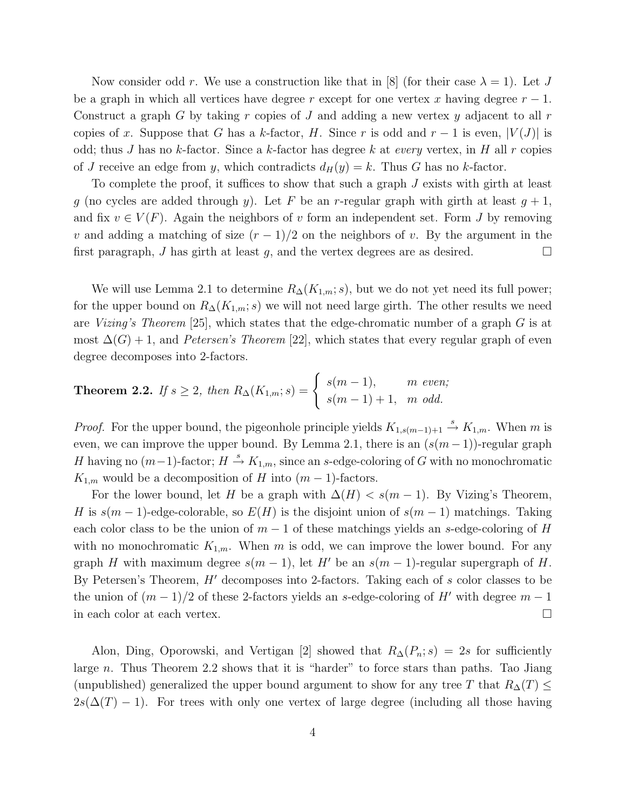Now consider odd r. We use a construction like that in [8] (for their case  $\lambda = 1$ ). Let J be a graph in which all vertices have degree r except for one vertex x having degree  $r-1$ . Construct a graph G by taking r copies of J and adding a new vertex y adjacent to all r copies of x. Suppose that G has a k-factor, H. Since r is odd and  $r-1$  is even,  $|V(J)|$  is odd; thus J has no k-factor. Since a k-factor has degree k at *every* vertex, in H all r copies of J receive an edge from y, which contradicts  $d_H(y) = k$ . Thus G has no k-factor.

To complete the proof, it suffices to show that such a graph J exists with girth at least g (no cycles are added through y). Let F be an r-regular graph with girth at least  $g + 1$ , and fix  $v \in V(F)$ . Again the neighbors of v form an independent set. Form J by removing v and adding a matching of size  $(r-1)/2$  on the neighbors of v. By the argument in the first paragraph, J has girth at least g, and the vertex degrees are as desired.  $\Box$ 

We will use Lemma 2.1 to determine  $R_{\Delta}(K_{1,m}; s)$ , but we do not yet need its full power; for the upper bound on  $R_{\Delta}(K_{1,m}; s)$  we will not need large girth. The other results we need are *Vizing's Theorem* [25], which states that the edge-chromatic number of a graph G is at most  $\Delta(G) + 1$ , and *Petersen's Theorem* [22], which states that every regular graph of even degree decomposes into 2-factors.

**Theorem 2.2.** If 
$$
s \ge 2
$$
, then  $R_{\Delta}(K_{1,m}; s) = \begin{cases} s(m-1), & m \text{ even}; \\ s(m-1)+1, & m \text{ odd}. \end{cases}$ 

*Proof.* For the upper bound, the pigeonhole principle yields  $K_{1,s(m-1)+1} \stackrel{s}{\to} K_{1,m}$ . When m is even, we can improve the upper bound. By Lemma 2.1, there is an  $(s(m-1))$ -regular graph H having no  $(m-1)$ -factor;  $H \stackrel{s}{\rightarrow} K_{1,m}$ , since an s-edge-coloring of G with no monochromatic  $K_{1,m}$  would be a decomposition of H into  $(m-1)$ -factors.

For the lower bound, let H be a graph with  $\Delta(H) < s(m-1)$ . By Vizing's Theorem, H is  $s(m-1)$ -edge-colorable, so  $E(H)$  is the disjoint union of  $s(m-1)$  matchings. Taking each color class to be the union of  $m-1$  of these matchings yields an s-edge-coloring of H with no monochromatic  $K_{1,m}$ . When m is odd, we can improve the lower bound. For any graph H with maximum degree  $s(m-1)$ , let H' be an  $s(m-1)$ -regular supergraph of H. By Petersen's Theorem, H' decomposes into 2-factors. Taking each of s color classes to be the union of  $(m-1)/2$  of these 2-factors yields an s-edge-coloring of H' with degree  $m-1$ in each color at each vertex.  $\Box$ 

Alon, Ding, Oporowski, and Vertigan [2] showed that  $R_{\Delta}(P_n; s) = 2s$  for sufficiently large n. Thus Theorem 2.2 shows that it is "harder" to force stars than paths. Tao Jiang (unpublished) generalized the upper bound argument to show for any tree T that  $R_{\Delta}(T) \leq$  $2s(\Delta(T) - 1)$ . For trees with only one vertex of large degree (including all those having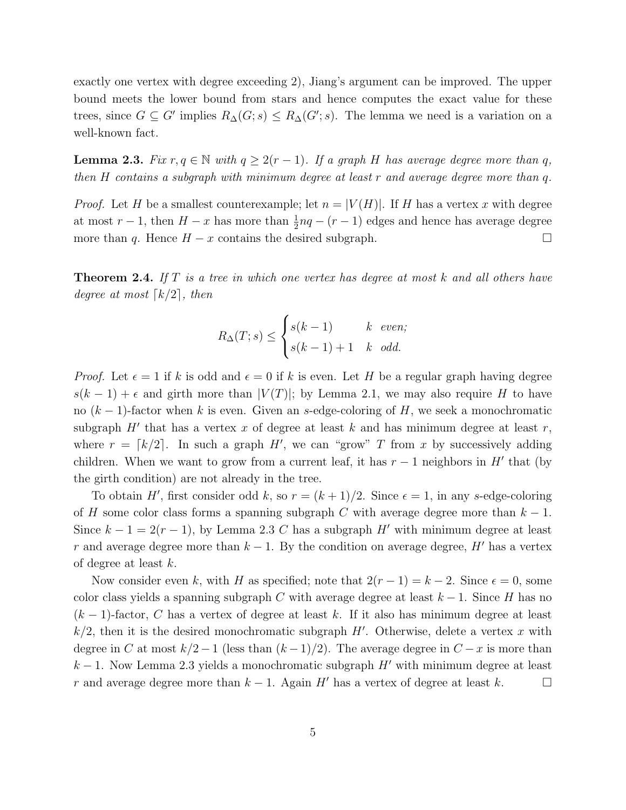exactly one vertex with degree exceeding 2), Jiang's argument can be improved. The upper bound meets the lower bound from stars and hence computes the exact value for these trees, since  $G \subseteq G'$  implies  $R_{\Delta}(G; s) \le R_{\Delta}(G'; s)$ . The lemma we need is a variation on a well-known fact.

**Lemma 2.3.** *Fix*  $r, q \in \mathbb{N}$  *with*  $q \geq 2(r-1)$ *. If a graph H has average degree more than* q*, then* H *contains a subgraph with minimum degree at least* r *and average degree more than* q*.*

*Proof.* Let H be a smallest counterexample; let  $n = |V(H)|$ . If H has a vertex x with degree at most  $r-1$ , then  $H-x$  has more than  $\frac{1}{2}nq - (r-1)$  edges and hence has average degree more than q. Hence  $H - x$  contains the desired subgraph.  $\Box$ 

Theorem 2.4. *If* T *is a tree in which one vertex has degree at most* k *and all others have degree at most*  $\lceil k/2 \rceil$ *, then* 

$$
R_{\Delta}(T;s) \le \begin{cases} s(k-1) & k \text{ even;} \\ s(k-1)+1 & k \text{ odd.} \end{cases}
$$

*Proof.* Let  $\epsilon = 1$  if k is odd and  $\epsilon = 0$  if k is even. Let H be a regular graph having degree  $s(k-1) + \epsilon$  and girth more than  $|V(T)|$ ; by Lemma 2.1, we may also require H to have no  $(k-1)$ -factor when k is even. Given an s-edge-coloring of H, we seek a monochromatic subgraph  $H'$  that has a vertex x of degree at least k and has minimum degree at least r, where  $r = \lfloor k/2 \rfloor$ . In such a graph H', we can "grow" T from x by successively adding children. When we want to grow from a current leaf, it has  $r-1$  neighbors in  $H'$  that (by the girth condition) are not already in the tree.

To obtain H', first consider odd k, so  $r = (k+1)/2$ . Since  $\epsilon = 1$ , in any s-edge-coloring of H some color class forms a spanning subgraph C with average degree more than  $k-1$ . Since  $k - 1 = 2(r - 1)$ , by Lemma 2.3 C has a subgraph H' with minimum degree at least r and average degree more than  $k-1$ . By the condition on average degree, H' has a vertex of degree at least k.

Now consider even k, with H as specified; note that  $2(r-1) = k-2$ . Since  $\epsilon = 0$ , some color class yields a spanning subgraph C with average degree at least  $k-1$ . Since H has no  $(k-1)$ -factor, C has a vertex of degree at least k. If it also has minimum degree at least  $k/2$ , then it is the desired monochromatic subgraph H'. Otherwise, delete a vertex x with degree in C at most  $k/2 - 1$  (less than  $(k-1)/2$ ). The average degree in  $C - x$  is more than  $k-1$ . Now Lemma 2.3 yields a monochromatic subgraph H' with minimum degree at least r and average degree more than  $k-1$ . Again H' has a vertex of degree at least k.  $\Box$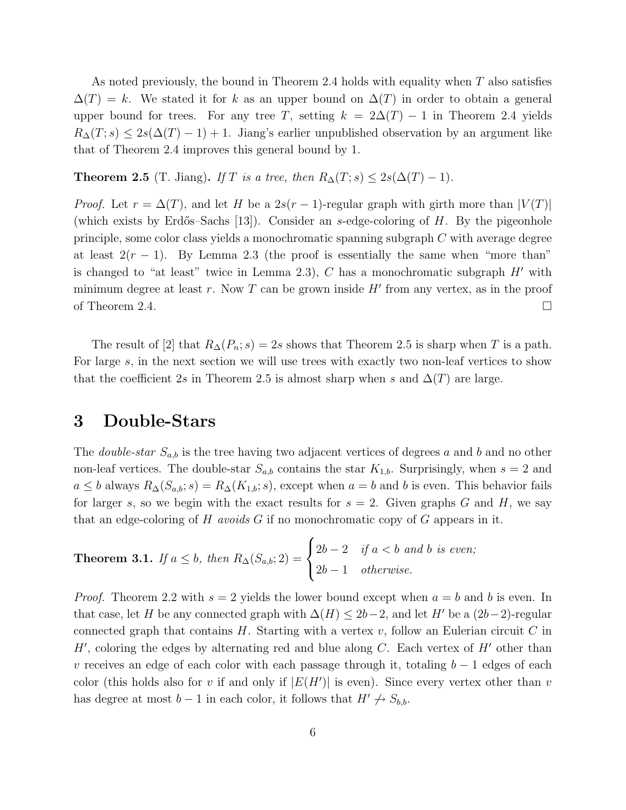As noted previously, the bound in Theorem 2.4 holds with equality when  $T$  also satisfies  $\Delta(T) = k$ . We stated it for k as an upper bound on  $\Delta(T)$  in order to obtain a general upper bound for trees. For any tree T, setting  $k = 2\Delta(T) - 1$  in Theorem 2.4 yields  $R_{\Delta}(T; s) \leq 2s(\Delta(T) - 1) + 1$ . Jiang's earlier unpublished observation by an argument like that of Theorem 2.4 improves this general bound by 1.

**Theorem 2.5** (T. Jiang). *If* T *is a tree, then*  $R_{\Delta}(T; s) \leq 2s(\Delta(T) - 1)$ *.* 

*Proof.* Let  $r = \Delta(T)$ , and let H be a  $2s(r-1)$ -regular graph with girth more than  $|V(T)|$ (which exists by Erdős–Sachs [13]). Consider an s-edge-coloring of  $H$ . By the pigeonhole principle, some color class yields a monochromatic spanning subgraph C with average degree at least  $2(r-1)$ . By Lemma 2.3 (the proof is essentially the same when "more than" is changed to "at least" twice in Lemma 2.3),  $C$  has a monochromatic subgraph  $H'$  with minimum degree at least r. Now T can be grown inside  $H'$  from any vertex, as in the proof of Theorem 2.4.  $\Box$ 

The result of [2] that  $R_{\Delta}(P_n; s) = 2s$  shows that Theorem 2.5 is sharp when T is a path. For large s, in the next section we will use trees with exactly two non-leaf vertices to show that the coefficient 2s in Theorem 2.5 is almost sharp when s and  $\Delta(T)$  are large.

# 3 Double-Stars

The *double-star*  $S_{a,b}$  is the tree having two adjacent vertices of degrees a and b and no other non-leaf vertices. The double-star  $S_{a,b}$  contains the star  $K_{1,b}$ . Surprisingly, when  $s = 2$  and  $a \leq b$  always  $R_{\Delta}(S_{a,b}; s) = R_{\Delta}(K_{1,b}; s)$ , except when  $a = b$  and b is even. This behavior fails for larger s, so we begin with the exact results for  $s = 2$ . Given graphs G and H, we say that an edge-coloring of H *avoids* G if no monochromatic copy of G appears in it.

**Theorem 3.1.** If 
$$
a \le b
$$
, then  $R_{\Delta}(S_{a,b}; 2) = \begin{cases} 2b-2 & \text{if } a < b \text{ and } b \text{ is even;} \\ 2b-1 & \text{otherwise.} \end{cases}$ 

*Proof.* Theorem 2.2 with  $s = 2$  yields the lower bound except when  $a = b$  and b is even. In that case, let H be any connected graph with  $\Delta(H) \leq 2b-2$ , and let H' be a  $(2b-2)$ -regular connected graph that contains  $H$ . Starting with a vertex  $v$ , follow an Eulerian circuit  $C$  in  $H'$ , coloring the edges by alternating red and blue along C. Each vertex of  $H'$  other than v receives an edge of each color with each passage through it, totaling  $b - 1$  edges of each color (this holds also for v if and only if  $|E(H')|$  is even). Since every vertex other than v has degree at most  $b-1$  in each color, it follows that  $H' \nightharpoonup S_{b,b}$ .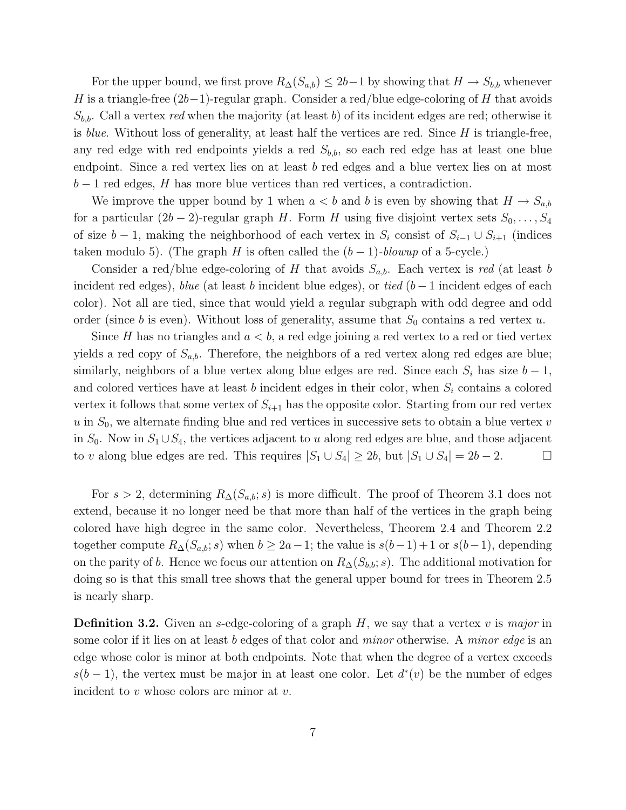For the upper bound, we first prove  $R_{\Delta}(S_{a,b}) \leq 2b-1$  by showing that  $H \to S_{b,b}$  whenever H is a triangle-free  $(2b-1)$ -regular graph. Consider a red/blue edge-coloring of H that avoids  $S_{b,b}$ . Call a vertex *red* when the majority (at least b) of its incident edges are red; otherwise it is *blue*. Without loss of generality, at least half the vertices are red. Since H is triangle-free, any red edge with red endpoints yields a red  $S_{b,b}$ , so each red edge has at least one blue endpoint. Since a red vertex lies on at least b red edges and a blue vertex lies on at most  $b-1$  red edges, H has more blue vertices than red vertices, a contradiction.

We improve the upper bound by 1 when  $a < b$  and b is even by showing that  $H \to S_{a,b}$ for a particular  $(2b-2)$ -regular graph H. Form H using five disjoint vertex sets  $S_0, \ldots, S_4$ of size  $b-1$ , making the neighborhood of each vertex in  $S_i$  consist of  $S_{i-1} \cup S_{i+1}$  (indices taken modulo 5). (The graph H is often called the  $(b-1)$ *-blowup* of a 5-cycle.)

Consider a red/blue edge-coloring of H that avoids  $S_{a,b}$ . Each vertex is *red* (at least b incident red edges), *blue* (at least b incident blue edges), or *tied* (b − 1 incident edges of each color). Not all are tied, since that would yield a regular subgraph with odd degree and odd order (since b is even). Without loss of generality, assume that  $S_0$  contains a red vertex u.

Since H has no triangles and  $a < b$ , a red edge joining a red vertex to a red or tied vertex yields a red copy of  $S_{a,b}$ . Therefore, the neighbors of a red vertex along red edges are blue; similarly, neighbors of a blue vertex along blue edges are red. Since each  $S_i$  has size  $b-1$ , and colored vertices have at least b incident edges in their color, when  $S_i$  contains a colored vertex it follows that some vertex of  $S_{i+1}$  has the opposite color. Starting from our red vertex  $u$  in  $S_0$ , we alternate finding blue and red vertices in successive sets to obtain a blue vertex  $v$ in  $S_0$ . Now in  $S_1 \cup S_4$ , the vertices adjacent to u along red edges are blue, and those adjacent to v along blue edges are red. This requires  $|S_1 \cup S_4| \ge 2b$ , but  $|S_1 \cup S_4| = 2b - 2$ .  $\Box$ 

For  $s > 2$ , determining  $R_{\Delta}(S_{a,b}; s)$  is more difficult. The proof of Theorem 3.1 does not extend, because it no longer need be that more than half of the vertices in the graph being colored have high degree in the same color. Nevertheless, Theorem 2.4 and Theorem 2.2 together compute  $R_{\Delta}(S_{a,b}; s)$  when  $b \geq 2a-1$ ; the value is  $s(b-1)+1$  or  $s(b-1)$ , depending on the parity of b. Hence we focus our attention on  $R_{\Delta}(S_{b,b}; s)$ . The additional motivation for doing so is that this small tree shows that the general upper bound for trees in Theorem 2.5 is nearly sharp.

Definition 3.2. Given an s-edge-coloring of a graph H, we say that a vertex v is *major* in some color if it lies on at least b edges of that color and *minor* otherwise. A *minor edge* is an edge whose color is minor at both endpoints. Note that when the degree of a vertex exceeds  $s(b-1)$ , the vertex must be major in at least one color. Let  $d^*(v)$  be the number of edges incident to  $v$  whose colors are minor at  $v$ .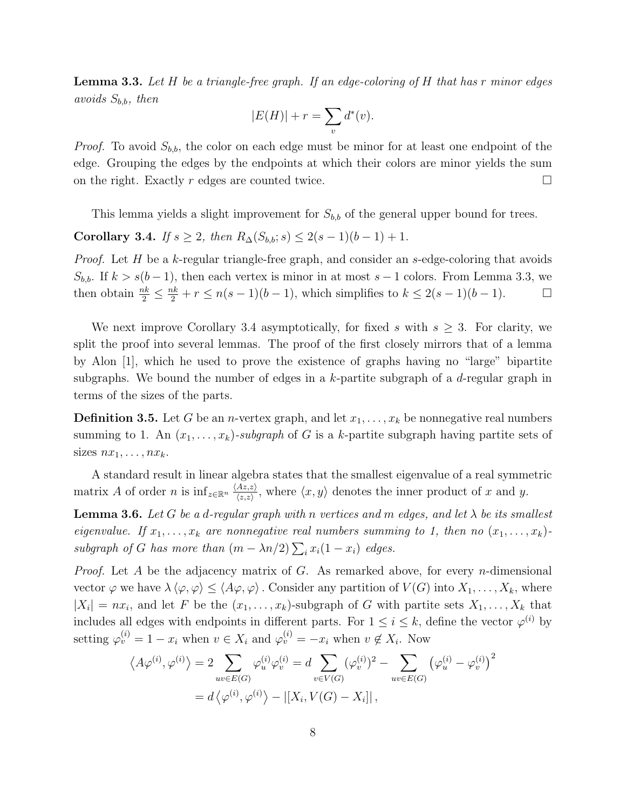Lemma 3.3. *Let* H *be a triangle-free graph. If an edge-coloring of* H *that has* r *minor edges avoids* Sb,b*, then*

$$
|E(H)| + r = \sum_{v} d^*(v).
$$

*Proof.* To avoid  $S_{b,b}$ , the color on each edge must be minor for at least one endpoint of the edge. Grouping the edges by the endpoints at which their colors are minor yields the sum on the right. Exactly r edges are counted twice.  $\Box$ 

This lemma yields a slight improvement for  $S_{b,b}$  of the general upper bound for trees.

Corollary 3.4. *If*  $s \geq 2$ *, then*  $R_{\Delta}(S_{b,b}; s) \leq 2(s-1)(b-1) + 1$ *.* 

*Proof.* Let H be a k-regular triangle-free graph, and consider an s-edge-coloring that avoids  $S_{b,b}$ . If  $k > s(b-1)$ , then each vertex is minor in at most  $s-1$  colors. From Lemma 3.3, we then obtain  $\frac{nk}{2} \leq \frac{nk}{2} + r \leq n(s-1)(b-1)$ , which simplifies to  $k \leq 2(s-1)(b-1)$ .  $\Box$ 

We next improve Corollary 3.4 asymptotically, for fixed s with  $s \geq 3$ . For clarity, we split the proof into several lemmas. The proof of the first closely mirrors that of a lemma by Alon [1], which he used to prove the existence of graphs having no "large" bipartite subgraphs. We bound the number of edges in a k-partite subgraph of a  $d$ -regular graph in terms of the sizes of the parts.

**Definition 3.5.** Let G be an *n*-vertex graph, and let  $x_1, \ldots, x_k$  be nonnegative real numbers summing to 1. An  $(x_1, \ldots, x_k)$ -subgraph of G is a k-partite subgraph having partite sets of sizes  $nx_1, \ldots, nx_k$ .

A standard result in linear algebra states that the smallest eigenvalue of a real symmetric matrix A of order n is  $\inf_{z \in \mathbb{R}^n} \frac{\langle Az, z \rangle}{\langle z, z \rangle}$  $\frac{Az,z}{\langle z,z\rangle}$ , where  $\langle x,y\rangle$  denotes the inner product of x and y.

**Lemma 3.6.** Let G be a d-regular graph with n vertices and m edges, and let  $\lambda$  be its smallest *eigenvalue.* If  $x_1, \ldots, x_k$  are nonnegative real numbers summing to 1, then no  $(x_1, \ldots, x_k)$ *subgraph of* G has more than  $(m - \lambda n/2) \sum_i x_i(1 - x_i)$  edges.

*Proof.* Let A be the adjacency matrix of G. As remarked above, for every n-dimensional vector  $\varphi$  we have  $\lambda \langle \varphi, \varphi \rangle \leq \langle A\varphi, \varphi \rangle$ . Consider any partition of  $V(G)$  into  $X_1, \ldots, X_k$ , where  $|X_i| = nx_i$ , and let F be the  $(x_1, \ldots, x_k)$ -subgraph of G with partite sets  $X_1, \ldots, X_k$  that includes all edges with endpoints in different parts. For  $1 \leq i \leq k$ , define the vector  $\varphi^{(i)}$  by setting  $\varphi_v^{(i)} = 1 - x_i$  when  $v \in X_i$  and  $\varphi_v^{(i)} = -x_i$  when  $v \notin X_i$ . Now

$$
\langle A\varphi^{(i)}, \varphi^{(i)} \rangle = 2 \sum_{uv \in E(G)} \varphi_u^{(i)} \varphi_v^{(i)} = d \sum_{v \in V(G)} (\varphi_v^{(i)})^2 - \sum_{uv \in E(G)} (\varphi_u^{(i)} - \varphi_v^{(i)})^2
$$

$$
= d \langle \varphi^{(i)}, \varphi^{(i)} \rangle - |[X_i, V(G) - X_i]|,
$$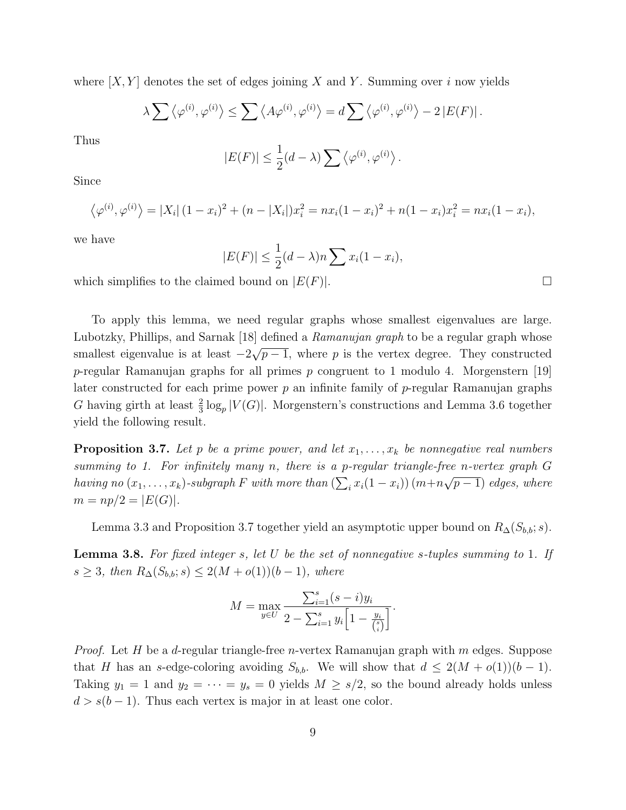where  $[X, Y]$  denotes the set of edges joining X and Y. Summing over i now yields

$$
\lambda \sum \langle \varphi^{(i)}, \varphi^{(i)} \rangle \le \sum \langle A \varphi^{(i)}, \varphi^{(i)} \rangle = d \sum \langle \varphi^{(i)}, \varphi^{(i)} \rangle - 2 |E(F)|.
$$

Thus

$$
|E(F)| \leq \frac{1}{2}(d - \lambda) \sum \langle \varphi^{(i)}, \varphi^{(i)} \rangle.
$$

Since

$$
\langle \varphi^{(i)}, \varphi^{(i)} \rangle = |X_i| (1 - x_i)^2 + (n - |X_i|) x_i^2 = n x_i (1 - x_i)^2 + n (1 - x_i) x_i^2 = n x_i (1 - x_i),
$$

we have

$$
|E(F)| \le \frac{1}{2}(d-\lambda)n \sum x_i(1-x_i),
$$

which simplifies to the claimed bound on  $|E(F)|$ .

To apply this lemma, we need regular graphs whose smallest eigenvalues are large. Lubotzky, Phillips, and Sarnak [18] defined a *Ramanujan graph* to be a regular graph whose smallest eigenvalue is at least  $-2\sqrt{p-1}$ , where p is the vertex degree. They constructed p-regular Ramanujan graphs for all primes  $p$  congruent to 1 modulo 4. Morgenstern [19] later constructed for each prime power  $p$  an infinite family of  $p$ -regular Ramanujan graphs G having girth at least  $\frac{2}{3} \log_p |V(G)|$ . Morgenstern's constructions and Lemma 3.6 together yield the following result.

**Proposition 3.7.** Let p be a prime power, and let  $x_1, \ldots, x_k$  be nonnegative real numbers *summing to 1. For infinitely many* n*, there is a* p*-regular triangle-free* n*-vertex graph* G *having no*  $(x_1, \ldots, x_k)$ *-subgraph* F with more than  $\left(\sum_i x_i(1-x_i)\right)(m+n\sqrt{p-1})$  edges, where  $m = np/2 = |E(G)|$ .

Lemma 3.3 and Proposition 3.7 together yield an asymptotic upper bound on  $R_{\Delta}(S_{b,b}; s)$ .

Lemma 3.8. *For fixed integer* s*, let* U *be the set of nonnegative* s*-tuples summing to* 1*. If* s ≥ 3*, then*  $R_{\Delta}(S_{b,b}; s)$  ≤ 2(M + o(1))(b − 1)*, where* 

$$
M = \max_{y \in U} \frac{\sum_{i=1}^{s} (s - i)y_i}{2 - \sum_{i=1}^{s} y_i \left[1 - \frac{y_i}{\binom{s}{i}}\right]}.
$$

*Proof.* Let H be a d-regular triangle-free n-vertex Ramanujan graph with m edges. Suppose that H has an s-edge-coloring avoiding  $S_{b,b}$ . We will show that  $d \leq 2(M + o(1))(b - 1)$ . Taking  $y_1 = 1$  and  $y_2 = \cdots = y_s = 0$  yields  $M \ge s/2$ , so the bound already holds unless  $d > s(b-1)$ . Thus each vertex is major in at least one color.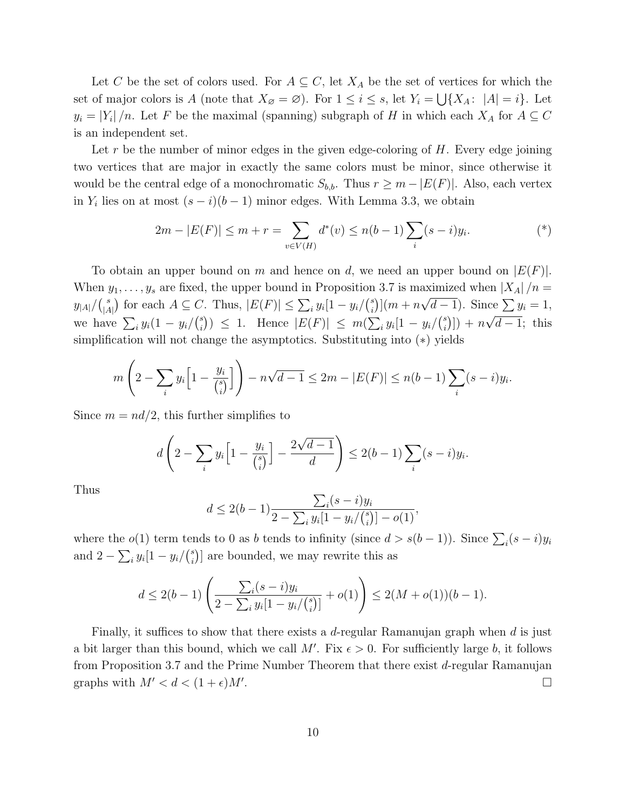Let C be the set of colors used. For  $A \subseteq C$ , let  $X_A$  be the set of vertices for which the set of major colors is A (note that  $X_{\emptyset} = \emptyset$ ). For  $1 \leq i \leq s$ , let  $Y_i = \bigcup \{X_A : |A| = i\}$ . Let  $y_i = |Y_i|/n$ . Let F be the maximal (spanning) subgraph of H in which each  $X_A$  for  $A \subseteq C$ is an independent set.

Let r be the number of minor edges in the given edge-coloring of  $H$ . Every edge joining two vertices that are major in exactly the same colors must be minor, since otherwise it would be the central edge of a monochromatic  $S_{b,b}$ . Thus  $r \geq m - |E(F)|$ . Also, each vertex in  $Y_i$  lies on at most  $(s-i)(b-1)$  minor edges. With Lemma 3.3, we obtain

$$
2m - |E(F)| \le m + r = \sum_{v \in V(H)} d^*(v) \le n(b-1) \sum_i (s-i) y_i.
$$
 (\*)

To obtain an upper bound on m and hence on d, we need an upper bound on  $|E(F)|$ . When  $y_1, \ldots, y_s$  are fixed, the upper bound in Proposition 3.7 is maximized when  $|X_A|/n =$  $y_{|A|}/\binom{s}{|A|}$  $\binom{s}{|A|}$  for each  $A \subseteq C$ . Thus,  $|E(F)| \leq \sum_i y_i [1 - y_i] \binom{s}{i}$  $\sum_{i=1}^{s} |(m+n\sqrt{d-1}).$  Since  $\sum_{i=1}^{s} y_i = 1$ , we have  $\sum_i y_i(1 - y_i)(\binom{s}{i})$ s<sup>s</sup>)) ≤ 1. Hence  $|E(F)|$  ≤  $m(\sum_i y_i[1 - y_i/\binom{s}{i})]$  $\binom{s}{i}$ ) +  $n\sqrt{d-1}$ ; this simplification will not change the asymptotics. Substituting into (∗) yields

$$
m\left(2-\sum_{i}y_i\left[1-\frac{y_i}{\binom{s}{i}}\right]\right)-n\sqrt{d-1}\leq 2m-|E(F)|\leq n(b-1)\sum_{i}(s-i)y_i.
$$

Since  $m = nd/2$ , this further simplifies to

$$
d\left(2-\sum_{i}y_i\left[1-\frac{y_i}{\binom{s}{i}}\right]-\frac{2\sqrt{d-1}}{d}\right)\leq 2(b-1)\sum_{i}(s-i)y_i.
$$

Thus

$$
d \le 2(b-1)\frac{\sum_{i}(s-i)y_i}{2-\sum_{i}y_i[1-y_i/{s \choose i}]-o(1)},
$$

where the  $o(1)$  term tends to 0 as b tends to infinity (since  $d > s(b-1)$ ). Since  $\sum_i (s-i)y_i$ and  $2 - \sum_i y_i [1 - y_i] \binom{s}{i}$  $\binom{s}{i}$  are bounded, we may rewrite this as

$$
d \le 2(b-1)\left(\frac{\sum_{i}(s-i)y_i}{2-\sum_{i}y_i[1-y_i/{s \choose i}]} + o(1)\right) \le 2(M+o(1))(b-1).
$$

Finally, it suffices to show that there exists a d-regular Ramanujan graph when  $d$  is just a bit larger than this bound, which we call M'. Fix  $\epsilon > 0$ . For sufficiently large b, it follows from Proposition 3.7 and the Prime Number Theorem that there exist  $d$ -regular Ramanujan graphs with  $M' < d < (1 + \epsilon)M'$ . . The contract of the contract of the contract of the contract of  $\Box$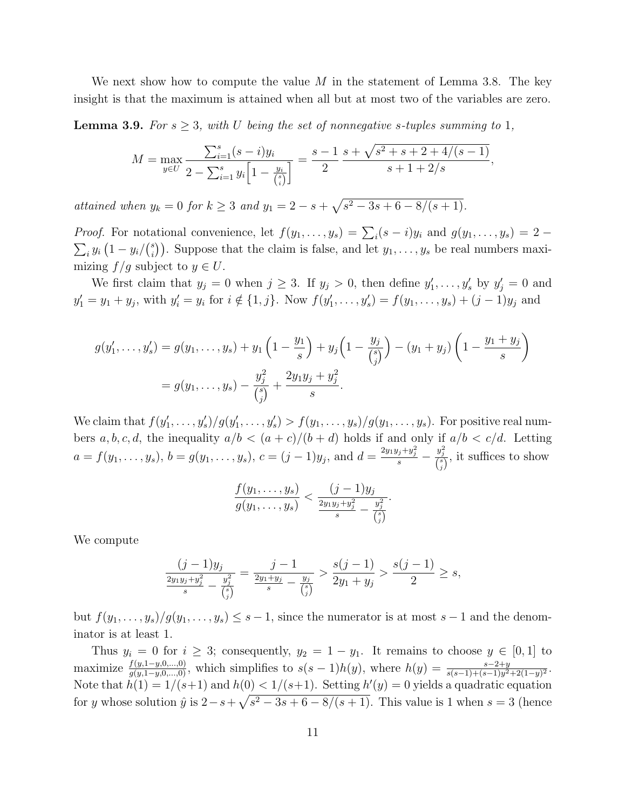We next show how to compute the value M in the statement of Lemma 3.8. The key insight is that the maximum is attained when all but at most two of the variables are zero.

**Lemma 3.9.** For  $s \geq 3$ , with U being the set of nonnegative s-tuples summing to 1,

$$
M = \max_{y \in U} \frac{\sum_{i=1}^{s} (s-i)y_i}{2 - \sum_{i=1}^{s} y_i \left[1 - \frac{y_i}{\binom{s}{i}}\right]} = \frac{s-1}{2} \frac{s + \sqrt{s^2 + s + 2 + 4/(s-1)}}{s + 1 + 2/s},
$$

*attained when*  $y_k = 0$  *for*  $k \geq 3$  *and*  $y_1 = 2 - s + \sqrt{s^2 - 3s + 6 - 8/(s + 1)}$ *.* 

*Proof.* For notational convenience, let  $f(y_1, \ldots, y_s) = \sum_i (s - i) y_i$  and  $g(y_1, \ldots, y_s) = 2 - i$  $\sum_i y_i \left(1 - y_i\right) \binom{s}{i}$  $\binom{s}{i}$ . Suppose that the claim is false, and let  $y_1, \ldots, y_s$  be real numbers maximizing  $f/g$  subject to  $y \in U$ .

We first claim that  $y_j = 0$  when  $j \ge 3$ . If  $y_j > 0$ , then define  $y'_1, \ldots, y'_s$  by  $y'_j = 0$  and  $y'_1 = y_1 + y_j$ , with  $y'_i = y_i$  for  $i \notin \{1, j\}$ . Now  $f(y'_1, \ldots, y'_s) = f(y_1, \ldots, y_s) + (j - 1)y_j$  and

$$
g(y'_1, \ldots, y'_s) = g(y_1, \ldots, y_s) + y_1 \left(1 - \frac{y_1}{s}\right) + y_j \left(1 - \frac{y_j}{\binom{s}{j}}\right) - (y_1 + y_j) \left(1 - \frac{y_1 + y_j}{s}\right)
$$
  
=  $g(y_1, \ldots, y_s) - \frac{y_j^2}{\binom{s}{j}} + \frac{2y_1y_j + y_j^2}{s}.$ 

We claim that  $f(y'_1,\ldots,y'_s)/g(y'_1,\ldots,y'_s) > f(y_1,\ldots,y_s)/g(y_1,\ldots,y_s)$ . For positive real numbers a, b, c, d, the inequality  $a/b < (a + c)/(b + d)$  holds if and only if  $a/b < c/d$ . Letting  $a = f(y_1, \ldots, y_s), b = g(y_1, \ldots, y_s), c = (j-1)y_j, \text{ and } d = \frac{2y_1y_j + y_j^2}{s}$  $\frac{y_j^2}{\binom{s}{j}}$ , it suffices to show

$$
\frac{f(y_1,\ldots,y_s)}{g(y_1,\ldots,y_s)}<\frac{(j-1)y_j}{\frac{2y_1y_j+y_j^2}{s}-\frac{y_j^2}{\binom{s}{j}}}.
$$

We compute

$$
\frac{(j-1)y_j}{\frac{2y_1y_j+y_j^2}{s}-\frac{y_j^2}{\binom{s}{j}}}=\frac{j-1}{\frac{2y_1+y_j}{s}-\frac{y_j}{\binom{s}{j}}}> \frac{s(j-1)}{2y_1+y_j}>\frac{s(j-1)}{2}\geq s,
$$

but  $f(y_1,\ldots,y_s)/g(y_1,\ldots,y_s) \leq s-1$ , since the numerator is at most  $s-1$  and the denominator is at least 1.

Thus  $y_i = 0$  for  $i \geq 3$ ; consequently,  $y_2 = 1 - y_1$ . It remains to choose  $y \in [0,1]$  to maximize  $\frac{f(y,1-y,0,...,0)}{g(y,1-y,0,...,0)}$ , which simplifies to  $s(s-1)h(y)$ , where  $h(y) = \frac{s-2+y}{s(s-1)+(s-1)y^2+2(1-y)^2}$ . Note that  $h(1) = 1/(s+1)$  and  $h(0) < 1/(s+1)$ . Setting  $h'(y) = 0$  yields a quadratic equation for y whose solution  $\hat{y}$  is  $2 - s + \sqrt{s^2 - 3s + 6 - 8/(s+1)}$ . This value is 1 when  $s = 3$  (hence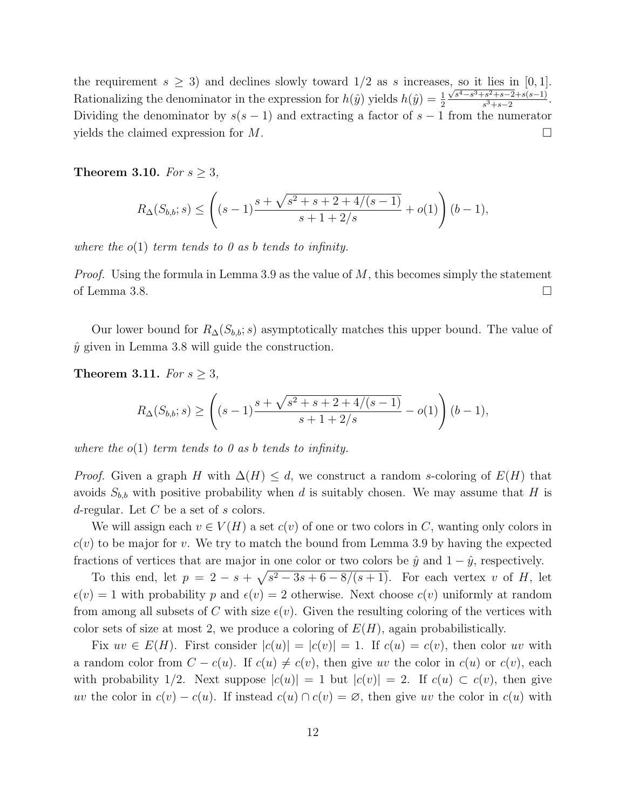the requirement  $s \geq 3$ ) and declines slowly toward  $1/2$  as s increases, so it lies in [0, 1]. Rationalizing the denominator in the expression for  $h(\hat{y})$  yields  $h(\hat{y}) = \frac{1}{2}$  $\frac{\sqrt{s^4 - s^3 + s^2 + s - 2} + s(s-1)}{s^3 + s - 2}$ . Dividing the denominator by  $s(s-1)$  and extracting a factor of  $s-1$  from the numerator yields the claimed expression for  $M$ .

**Theorem 3.10.** *For*  $s \geq 3$ *,* 

$$
R_{\Delta}(S_{b,b};s) \le \left( (s-1)\frac{s + \sqrt{s^2 + s + 2 + 4/(s-1)}}{s + 1 + 2/s} + o(1) \right) (b-1),
$$

*where the* o(1) *term tends to 0 as* b *tends to infinity.*

*Proof.* Using the formula in Lemma 3.9 as the value of M, this becomes simply the statement of Lemma 3.8.  $\Box$ 

Our lower bound for  $R_{\Delta}(S_{b,b}; s)$  asymptotically matches this upper bound. The value of  $\hat{y}$  given in Lemma 3.8 will guide the construction.

**Theorem 3.11.** *For*  $s \geq 3$ *,* 

$$
R_{\Delta}(S_{b,b};s) \ge \left( (s-1)\frac{s + \sqrt{s^2 + s + 2 + 4/(s-1)}}{s + 1 + 2/s} - o(1) \right) (b-1),
$$

*where the* o(1) *term tends to 0 as* b *tends to infinity.*

*Proof.* Given a graph H with  $\Delta(H) \leq d$ , we construct a random s-coloring of  $E(H)$  that avoids  $S_{b,b}$  with positive probability when d is suitably chosen. We may assume that H is d-regular. Let  $C$  be a set of s colors.

We will assign each  $v \in V(H)$  a set  $c(v)$  of one or two colors in C, wanting only colors in  $c(v)$  to be major for v. We try to match the bound from Lemma 3.9 by having the expected fractions of vertices that are major in one color or two colors be  $\hat{y}$  and  $1 - \hat{y}$ , respectively.

To this end, let  $p = 2 - s + \sqrt{s^2 - 3s + 6 - 8/(s+1)}$ . For each vertex v of H, let  $\epsilon(v) = 1$  with probability p and  $\epsilon(v) = 2$  otherwise. Next choose  $c(v)$  uniformly at random from among all subsets of C with size  $\epsilon(v)$ . Given the resulting coloring of the vertices with color sets of size at most 2, we produce a coloring of  $E(H)$ , again probabilistically.

Fix  $uv \in E(H)$ . First consider  $|c(u)| = |c(v)| = 1$ . If  $c(u) = c(v)$ , then color uv with a random color from  $C - c(u)$ . If  $c(u) \neq c(v)$ , then give uv the color in  $c(u)$  or  $c(v)$ , each with probability 1/2. Next suppose  $|c(u)| = 1$  but  $|c(v)| = 2$ . If  $c(u) \subset c(v)$ , then give uv the color in  $c(v) - c(u)$ . If instead  $c(u) \cap c(v) = \emptyset$ , then give uv the color in  $c(u)$  with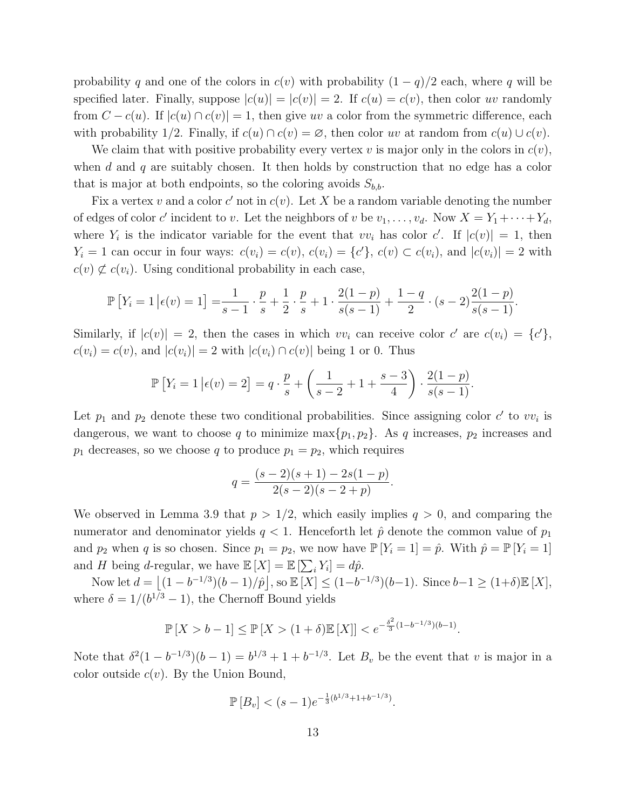probability q and one of the colors in  $c(v)$  with probability  $(1 - q)/2$  each, where q will be specified later. Finally, suppose  $|c(u)| = |c(v)| = 2$ . If  $c(u) = c(v)$ , then color uv randomly from  $C - c(u)$ . If  $|c(u) \cap c(v)| = 1$ , then give uv a color from the symmetric difference, each with probability 1/2. Finally, if  $c(u) \cap c(v) = \emptyset$ , then color uv at random from  $c(u) \cup c(v)$ .

We claim that with positive probability every vertex v is major only in the colors in  $c(v)$ , when d and q are suitably chosen. It then holds by construction that no edge has a color that is major at both endpoints, so the coloring avoids  $S_{b,b}$ .

Fix a vertex v and a color c' not in  $c(v)$ . Let X be a random variable denoting the number of edges of color c' incident to v. Let the neighbors of v be  $v_1, \ldots, v_d$ . Now  $X = Y_1 + \cdots + Y_d$ , where  $Y_i$  is the indicator variable for the event that  $vv_i$  has color c'. If  $|c(v)| = 1$ , then  $Y_i = 1$  can occur in four ways:  $c(v_i) = c(v)$ ,  $c(v_i) = \{c'\}$ ,  $c(v) \subset c(v_i)$ , and  $|c(v_i)| = 2$  with  $c(v) \not\subset c(v_i)$ . Using conditional probability in each case,

$$
\mathbb{P}\left[Y_i=1\,\middle|\,\epsilon(v)=1\right] = \frac{1}{s-1}\cdot\frac{p}{s} + \frac{1}{2}\cdot\frac{p}{s} + 1\cdot\frac{2(1-p)}{s(s-1)} + \frac{1-q}{2}\cdot(s-2)\frac{2(1-p)}{s(s-1)}.
$$

Similarly, if  $|c(v)| = 2$ , then the cases in which  $vv_i$  can receive color  $c'$  are  $c(v_i) = \{c'\},$  $c(v_i) = c(v)$ , and  $|c(v_i)| = 2$  with  $|c(v_i) \cap c(v)|$  being 1 or 0. Thus

$$
\mathbb{P}\left[Y_i = 1 \, \big| \, \epsilon(v) = 2\right] = q \cdot \frac{p}{s} + \left(\frac{1}{s-2} + 1 + \frac{s-3}{4}\right) \cdot \frac{2(1-p)}{s(s-1)}.
$$

Let  $p_1$  and  $p_2$  denote these two conditional probabilities. Since assigning color c' to  $vv_i$  is dangerous, we want to choose q to minimize  $\max\{p_1, p_2\}$ . As q increases,  $p_2$  increases and  $p_1$  decreases, so we choose q to produce  $p_1 = p_2$ , which requires

$$
q = \frac{(s-2)(s+1) - 2s(1-p)}{2(s-2)(s-2+p)}
$$

.

.

We observed in Lemma 3.9 that  $p > 1/2$ , which easily implies  $q > 0$ , and comparing the numerator and denominator yields  $q < 1$ . Henceforth let  $\hat{p}$  denote the common value of  $p_1$ and  $p_2$  when q is so chosen. Since  $p_1 = p_2$ , we now have  $\mathbb{P}[Y_i = 1] = \hat{p}$ . With  $\hat{p} = \mathbb{P}[Y_i = 1]$ and H being d-regular, we have  $\mathbb{E}[X] = \mathbb{E}[\sum_i Y_i] = d\hat{p}$ .

Now let  $d = \lfloor (1 - b^{-1/3})(b - 1)/\hat{p} \rfloor$ , so  $\mathbb{E}[X] \le (1 - b^{-1/3})(b - 1)$ . Since  $b - 1 \ge (1 + \delta)\mathbb{E}[X]$ , where  $\delta = 1/(b^{1/3} - 1)$ , the Chernoff Bound yields

$$
\mathbb{P}[X > b - 1] \le \mathbb{P}[X > (1 + \delta)\mathbb{E}[X]] < e^{-\frac{\delta^2}{3}(1 - b^{-1/3})(b - 1)}
$$

Note that  $\delta^2(1-b^{-1/3})(b-1) = b^{1/3} + 1 + b^{-1/3}$ . Let  $B_v$  be the event that v is major in a color outside  $c(v)$ . By the Union Bound,

$$
\mathbb{P}[B_v] < (s-1)e^{-\frac{1}{3}(b^{1/3} + 1 + b^{-1/3})}.
$$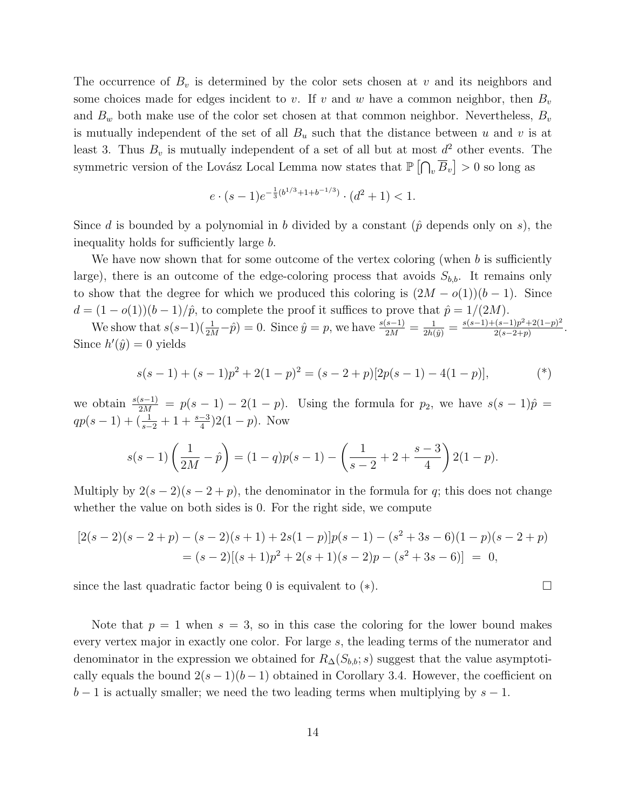The occurrence of  $B_v$  is determined by the color sets chosen at v and its neighbors and some choices made for edges incident to v. If v and w have a common neighbor, then  $B_v$ and  $B_w$  both make use of the color set chosen at that common neighbor. Nevertheless,  $B_v$ is mutually independent of the set of all  $B_u$  such that the distance between u and v is at least 3. Thus  $B_v$  is mutually independent of a set of all but at most  $d^2$  other events. The symmetric version of the Lovász Local Lemma now states that  $\mathbb{P}\left[\bigcap_{v}\overline{B}_{v}\right] > 0$  so long as

$$
e \cdot (s-1)e^{-\frac{1}{3}(b^{1/3}+1+b^{-1/3})} \cdot (d^2+1) < 1.
$$

Since d is bounded by a polynomial in b divided by a constant ( $\hat{p}$  depends only on s), the inequality holds for sufficiently large b.

We have now shown that for some outcome of the vertex coloring (when b is sufficiently large), there is an outcome of the edge-coloring process that avoids  $S_{b,b}$ . It remains only to show that the degree for which we produced this coloring is  $(2M - o(1))(b - 1)$ . Since  $d = (1 - o(1))(b - 1)/\hat{p}$ , to complete the proof it suffices to prove that  $\hat{p} = 1/(2M)$ .

We show that  $s(s-1)(\frac{1}{2M}-\hat{p})=0$ . Since  $\hat{y}=p$ , we have  $\frac{s(s-1)}{2M}=\frac{1}{2h(\hat{y})}=\frac{s(s-1)+(s-1)p^2+2(1-p)^2}{2(s-2+p)}$  $\frac{(s-1)p^2+2(1-p)^2}{2(s-2+p)}$ . Since  $h'(\hat{y}) = 0$  yields

$$
s(s-1) + (s-1)p^{2} + 2(1-p)^{2} = (s-2+p)[2p(s-1) - 4(1-p)],
$$
 (\*)

we obtain  $\frac{s(s-1)}{2M} = p(s-1) - 2(1-p)$ . Using the formula for  $p_2$ , we have  $s(s-1)\hat{p} =$  $qp(s-1)+(\frac{1}{s-2}+1+\frac{s-3}{4})2(1-p)$ . Now

$$
s(s-1)\left(\frac{1}{2M}-\hat{p}\right)=(1-q)p(s-1)-\left(\frac{1}{s-2}+2+\frac{s-3}{4}\right)2(1-p).
$$

Multiply by  $2(s-2)(s-2+p)$ , the denominator in the formula for q; this does not change whether the value on both sides is 0. For the right side, we compute

$$
[2(s-2)(s-2+p) - (s-2)(s+1) + 2s(1-p)]p(s-1) - (s^2+3s-6)(1-p)(s-2+p)
$$
  
= (s-2)[(s+1)p<sup>2</sup> + 2(s+1)(s-2)p - (s<sup>2</sup>+3s-6)] = 0,

since the last quadratic factor being 0 is equivalent to  $(*)$ .

Note that  $p = 1$  when  $s = 3$ , so in this case the coloring for the lower bound makes every vertex major in exactly one color. For large s, the leading terms of the numerator and denominator in the expression we obtained for  $R_{\Delta}(S_{b,b}; s)$  suggest that the value asymptotically equals the bound  $2(s-1)(b-1)$  obtained in Corollary 3.4. However, the coefficient on  $b-1$  is actually smaller; we need the two leading terms when multiplying by  $s-1$ .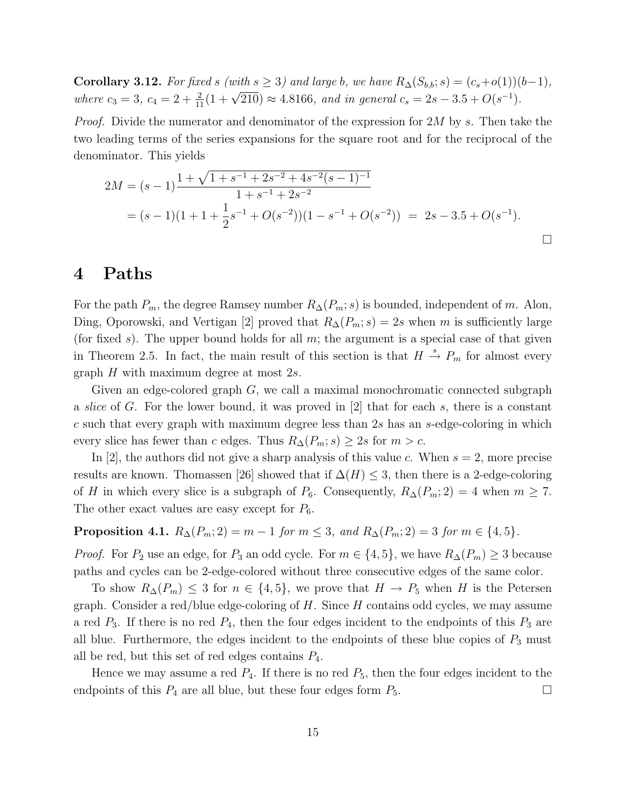Corollary 3.12. *For fixed* s *(with*  $s \geq 3$ *) and large b, we have*  $R_{\Delta}(S_{b,b}; s) = (c_s+o(1))(b-1)$ *, where*  $c_3 = 3$ ,  $c_4 = 2 + \frac{2}{11}(1 + \sqrt{210}) \approx 4.8166$ , and in general  $c_s = 2s - 3.5 + O(s^{-1})$ .

*Proof.* Divide the numerator and denominator of the expression for 2M by s. Then take the two leading terms of the series expansions for the square root and for the reciprocal of the denominator. This yields

$$
2M = (s-1)\frac{1+\sqrt{1+s^{-1}+2s^{-2}+4s^{-2}(s-1)^{-1}}}{1+s^{-1}+2s^{-2}}
$$
  
=  $(s-1)(1+1+\frac{1}{2}s^{-1}+O(s^{-2}))(1-s^{-1}+O(s^{-2})) = 2s-3.5+O(s^{-1}).$ 

## 4 Paths

For the path  $P_m$ , the degree Ramsey number  $R_{\Delta}(P_m; s)$  is bounded, independent of m. Alon, Ding, Oporowski, and Vertigan [2] proved that  $R_{\Delta}(P_m; s) = 2s$  when m is sufficiently large (for fixed s). The upper bound holds for all  $m$ ; the argument is a special case of that given in Theorem 2.5. In fact, the main result of this section is that  $H \stackrel{s}{\rightarrow} P_m$  for almost every graph H with maximum degree at most 2s.

Given an edge-colored graph  $G$ , we call a maximal monochromatic connected subgraph a *slice* of G. For the lower bound, it was proved in [2] that for each s, there is a constant  $c$  such that every graph with maximum degree less than  $2s$  has an  $s$ -edge-coloring in which every slice has fewer than c edges. Thus  $R_{\Delta}(P_m; s) \geq 2s$  for  $m > c$ .

In [2], the authors did not give a sharp analysis of this value c. When  $s = 2$ , more precise results are known. Thomassen [26] showed that if  $\Delta(H) \leq 3$ , then there is a 2-edge-coloring of H in which every slice is a subgraph of  $P_6$ . Consequently,  $R_{\Delta}(P_m; 2) = 4$  when  $m \geq 7$ . The other exact values are easy except for  $P_6$ .

**Proposition 4.1.**  $R_{\Delta}(P_m; 2) = m - 1$  *for*  $m \leq 3$ *, and*  $R_{\Delta}(P_m; 2) = 3$  *for*  $m \in \{4, 5\}$ *.* 

*Proof.* For  $P_2$  use an edge, for  $P_3$  an odd cycle. For  $m \in \{4, 5\}$ , we have  $R_{\Delta}(P_m) \geq 3$  because paths and cycles can be 2-edge-colored without three consecutive edges of the same color.

To show  $R_{\Delta}(P_m) \leq 3$  for  $n \in \{4, 5\}$ , we prove that  $H \to P_5$  when H is the Petersen graph. Consider a red/blue edge-coloring of  $H$ . Since  $H$  contains odd cycles, we may assume a red  $P_3$ . If there is no red  $P_4$ , then the four edges incident to the endpoints of this  $P_3$  are all blue. Furthermore, the edges incident to the endpoints of these blue copies of  $P_3$  must all be red, but this set of red edges contains  $P_4$ .

Hence we may assume a red  $P_4$ . If there is no red  $P_5$ , then the four edges incident to the endpoints of this  $P_4$  are all blue, but these four edges form  $P_5$ .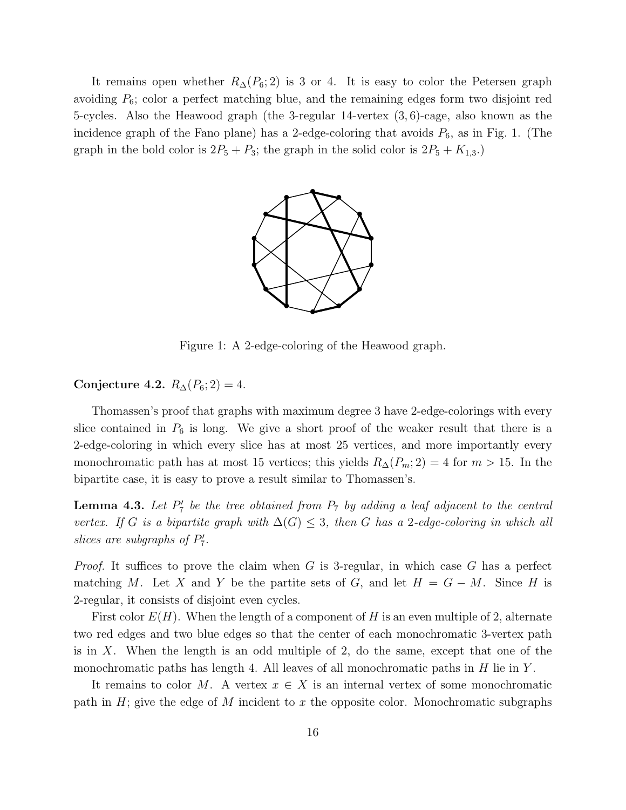It remains open whether  $R_{\Delta}(P_6; 2)$  is 3 or 4. It is easy to color the Petersen graph avoiding  $P_6$ ; color a perfect matching blue, and the remaining edges form two disjoint red 5-cycles. Also the Heawood graph (the 3-regular 14-vertex (3, 6)-cage, also known as the incidence graph of the Fano plane) has a 2-edge-coloring that avoids  $P_6$ , as in Fig. 1. (The graph in the bold color is  $2P_5 + P_3$ ; the graph in the solid color is  $2P_5 + K_{1,3}$ .



Figure 1: A 2-edge-coloring of the Heawood graph.

#### Conjecture 4.2.  $R_{\Delta}(P_6; 2) = 4$ .

Thomassen's proof that graphs with maximum degree 3 have 2-edge-colorings with every slice contained in  $P_6$  is long. We give a short proof of the weaker result that there is a 2-edge-coloring in which every slice has at most 25 vertices, and more importantly every monochromatic path has at most 15 vertices; this yields  $R_{\Delta}(P_m; 2) = 4$  for  $m > 15$ . In the bipartite case, it is easy to prove a result similar to Thomassen's.

**Lemma 4.3.** Let  $P'_7$  be the tree obtained from  $P_7$  by adding a leaf adjacent to the central *vertex.* If G is a bipartite graph with  $\Delta(G) \leq 3$ , then G has a 2-edge-coloring in which all *slices are subgraphs of*  $P'_7$ .

*Proof.* It suffices to prove the claim when G is 3-regular, in which case G has a perfect matching M. Let X and Y be the partite sets of G, and let  $H = G - M$ . Since H is 2-regular, it consists of disjoint even cycles.

First color  $E(H)$ . When the length of a component of H is an even multiple of 2, alternate two red edges and two blue edges so that the center of each monochromatic 3-vertex path is in  $X$ . When the length is an odd multiple of 2, do the same, except that one of the monochromatic paths has length 4. All leaves of all monochromatic paths in  $H$  lie in  $Y$ .

It remains to color M. A vertex  $x \in X$  is an internal vertex of some monochromatic path in  $H$ ; give the edge of M incident to x the opposite color. Monochromatic subgraphs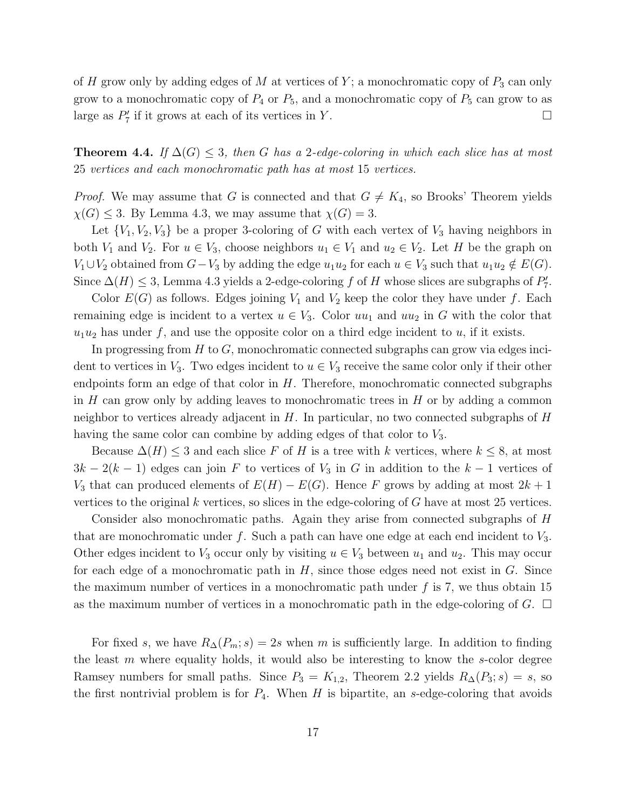of H grow only by adding edges of M at vertices of Y; a monochromatic copy of  $P_3$  can only grow to a monochromatic copy of  $P_4$  or  $P_5$ , and a monochromatic copy of  $P_5$  can grow to as large as  $P'_7$  if it grows at each of its vertices in Y.

**Theorem 4.4.** *If*  $\Delta(G) \leq 3$ , *then* G *has a* 2-edge-coloring in which each slice has at most 25 *vertices and each monochromatic path has at most* 15 *vertices.*

*Proof.* We may assume that G is connected and that  $G \neq K_4$ , so Brooks' Theorem yields  $\chi(G) \leq 3$ . By Lemma 4.3, we may assume that  $\chi(G) = 3$ .

Let  $\{V_1, V_2, V_3\}$  be a proper 3-coloring of G with each vertex of  $V_3$  having neighbors in both  $V_1$  and  $V_2$ . For  $u \in V_3$ , choose neighbors  $u_1 \in V_1$  and  $u_2 \in V_2$ . Let H be the graph on  $V_1 \cup V_2$  obtained from  $G-V_3$  by adding the edge  $u_1u_2$  for each  $u \in V_3$  such that  $u_1u_2 \notin E(G)$ . Since  $\Delta(H) \leq 3$ , Lemma 4.3 yields a 2-edge-coloring f of H whose slices are subgraphs of  $P'_7$ .

Color  $E(G)$  as follows. Edges joining  $V_1$  and  $V_2$  keep the color they have under f. Each remaining edge is incident to a vertex  $u \in V_3$ . Color  $uu_1$  and  $uu_2$  in G with the color that  $u_1u_2$  has under f, and use the opposite color on a third edge incident to u, if it exists.

In progressing from  $H$  to  $G$ , monochromatic connected subgraphs can grow via edges incident to vertices in  $V_3$ . Two edges incident to  $u \in V_3$  receive the same color only if their other endpoints form an edge of that color in  $H$ . Therefore, monochromatic connected subgraphs in  $H$  can grow only by adding leaves to monochromatic trees in  $H$  or by adding a common neighbor to vertices already adjacent in  $H$ . In particular, no two connected subgraphs of  $H$ having the same color can combine by adding edges of that color to  $V_3$ .

Because  $\Delta(H) \leq 3$  and each slice F of H is a tree with k vertices, where  $k \leq 8$ , at most  $3k-2(k-1)$  edges can join F to vertices of  $V_3$  in G in addition to the  $k-1$  vertices of V<sub>3</sub> that can produced elements of  $E(H) - E(G)$ . Hence F grows by adding at most  $2k + 1$ vertices to the original  $k$  vertices, so slices in the edge-coloring of  $G$  have at most 25 vertices.

Consider also monochromatic paths. Again they arise from connected subgraphs of H that are monochromatic under  $f$ . Such a path can have one edge at each end incident to  $V_3$ . Other edges incident to  $V_3$  occur only by visiting  $u \in V_3$  between  $u_1$  and  $u_2$ . This may occur for each edge of a monochromatic path in  $H$ , since those edges need not exist in  $G$ . Since the maximum number of vertices in a monochromatic path under  $f$  is 7, we thus obtain 15 as the maximum number of vertices in a monochromatic path in the edge-coloring of  $G$ .  $\Box$ 

For fixed s, we have  $R_{\Delta}(P_m; s) = 2s$  when m is sufficiently large. In addition to finding the least  $m$  where equality holds, it would also be interesting to know the  $s$ -color degree Ramsey numbers for small paths. Since  $P_3 = K_{1,2}$ , Theorem 2.2 yields  $R_{\Delta}(P_3; s) = s$ , so the first nontrivial problem is for  $P_4$ . When H is bipartite, an s-edge-coloring that avoids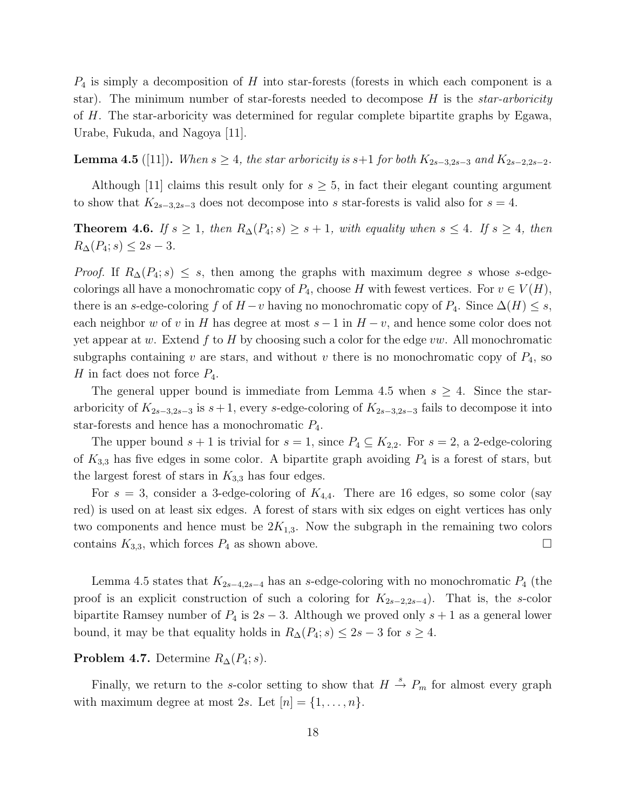$P_4$  is simply a decomposition of H into star-forests (forests in which each component is a star). The minimum number of star-forests needed to decompose H is the *star-arboricity* of H. The star-arboricity was determined for regular complete bipartite graphs by Egawa, Urabe, Fukuda, and Nagoya [11].

**Lemma 4.5** ([11]). *When*  $s \geq 4$ *, the star arboricity is*  $s+1$  *for both*  $K_{2s-3,2s-3}$  *and*  $K_{2s-2,2s-2}$ *.* 

Although [11] claims this result only for  $s \geq 5$ , in fact their elegant counting argument to show that  $K_{2s-3,2s-3}$  does not decompose into s star-forests is valid also for  $s = 4$ .

**Theorem 4.6.** *If*  $s \geq 1$ *, then*  $R_{\Delta}(P_4; s) \geq s + 1$ *, with equality when*  $s \leq 4$ *. If*  $s \geq 4$ *, then*  $R_{\Delta}(P_4; s) \leq 2s - 3.$ 

*Proof.* If  $R_{\Delta}(P_4; s) \leq s$ , then among the graphs with maximum degree s whose s-edgecolorings all have a monochromatic copy of  $P_4$ , choose H with fewest vertices. For  $v \in V(H)$ , there is an s-edge-coloring f of  $H - v$  having no monochromatic copy of  $P_4$ . Since  $\Delta(H) \leq s$ , each neighbor w of v in H has degree at most  $s - 1$  in  $H - v$ , and hence some color does not yet appear at w. Extend f to H by choosing such a color for the edge  $vw$ . All monochromatic subgraphs containing v are stars, and without v there is no monochromatic copy of  $P_4$ , so H in fact does not force  $P_4$ .

The general upper bound is immediate from Lemma 4.5 when  $s \geq 4$ . Since the stararboricity of  $K_{2s-3,2s-3}$  is  $s+1$ , every s-edge-coloring of  $K_{2s-3,2s-3}$  fails to decompose it into star-forests and hence has a monochromatic  $P_4$ .

The upper bound  $s + 1$  is trivial for  $s = 1$ , since  $P_4 \subseteq K_{2,2}$ . For  $s = 2$ , a 2-edge-coloring of  $K_{3,3}$  has five edges in some color. A bipartite graph avoiding  $P_4$  is a forest of stars, but the largest forest of stars in  $K_{3,3}$  has four edges.

For  $s = 3$ , consider a 3-edge-coloring of  $K_{4,4}$ . There are 16 edges, so some color (say red) is used on at least six edges. A forest of stars with six edges on eight vertices has only two components and hence must be  $2K_{1,3}$ . Now the subgraph in the remaining two colors contains  $K_{3,3}$ , which forces  $P_4$  as shown above.

Lemma 4.5 states that  $K_{2s-4,2s-4}$  has an s-edge-coloring with no monochromatic  $P_4$  (the proof is an explicit construction of such a coloring for  $K_{2s-2,2s-4}$ ). That is, the s-color bipartite Ramsey number of  $P_4$  is  $2s - 3$ . Although we proved only  $s + 1$  as a general lower bound, it may be that equality holds in  $R_{\Delta}(P_4; s) \leq 2s - 3$  for  $s \geq 4$ .

**Problem 4.7.** Determine  $R_{\Delta}(P_4; s)$ .

Finally, we return to the s-color setting to show that  $H \stackrel{s}{\rightarrow} P_m$  for almost every graph with maximum degree at most 2s. Let  $[n] = \{1, \ldots, n\}.$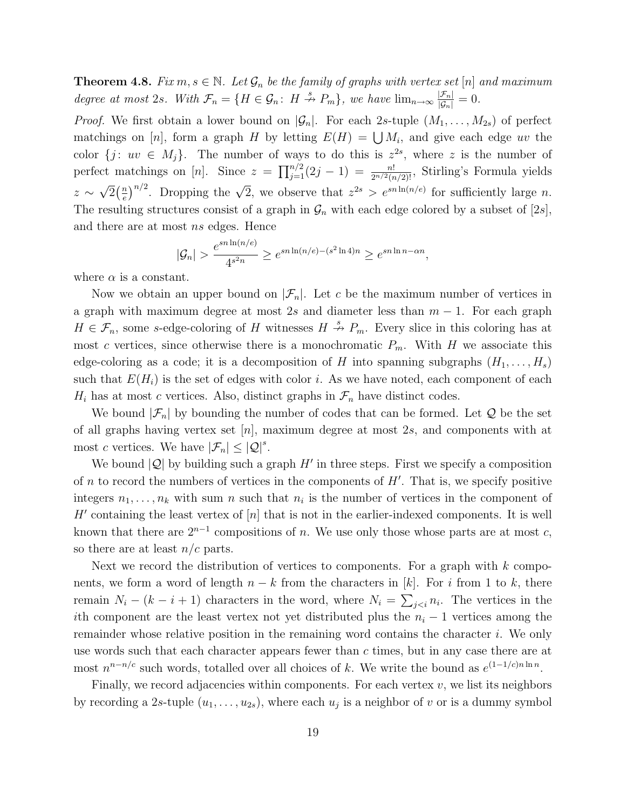**Theorem 4.8.** *Fix*  $m, s \in \mathbb{N}$ *. Let*  $\mathcal{G}_n$  *be the family of graphs with vertex set* [n] *and maximum degree at most* 2*s. With*  $\mathcal{F}_n = \{H \in \mathcal{G}_n : H \stackrel{s}{\nrightarrow} P_m\}$ *, we have*  $\lim_{n \to \infty} \frac{|\mathcal{F}_n|}{|\mathcal{G}_n|} = 0$ *.* 

*Proof.* We first obtain a lower bound on  $|\mathcal{G}_n|$ . For each 2s-tuple  $(M_1, \ldots, M_{2s})$  of perfect matchings on [n], form a graph H by letting  $E(H) = \bigcup M_i$ , and give each edge uv the color  $\{j: uv \in M_j\}$ . The number of ways to do this is  $z^{2s}$ , where z is the number of perfect matchings on [n]. Since  $z = \prod_{j=1}^{n/2} (2j-1) = \frac{n!}{2^{n/2}(n/2)!}$ , Stirling's Formula yields  $z \sim \sqrt{2} \left( \frac{n}{e} \right)$  $\frac{m}{e}n^{n/2}$ . Dropping the  $\sqrt{2}$ , we observe that  $z^{2s} > e^{sn \ln(n/e)}$  for sufficiently large *n*. The resulting structures consist of a graph in  $\mathcal{G}_n$  with each edge colored by a subset of [2s], and there are at most ns edges. Hence

$$
|\mathcal{G}_n| > \frac{e^{sn\ln(n/e)}}{4^{s^2n}} \ge e^{sn\ln(n/e) - (s^2\ln 4)n} \ge e^{sn\ln n - \alpha n},
$$

where  $\alpha$  is a constant.

Now we obtain an upper bound on  $|\mathcal{F}_n|$ . Let c be the maximum number of vertices in a graph with maximum degree at most 2s and diameter less than  $m - 1$ . For each graph  $H \in \mathcal{F}_n$ , some s-edge-coloring of H witnesses  $H \stackrel{s}{\nrightarrow} P_m$ . Every slice in this coloring has at most c vertices, since otherwise there is a monochromatic  $P_m$ . With H we associate this edge-coloring as a code; it is a decomposition of H into spanning subgraphs  $(H_1, \ldots, H_s)$ such that  $E(H_i)$  is the set of edges with color i. As we have noted, each component of each  $H_i$  has at most c vertices. Also, distinct graphs in  $\mathcal{F}_n$  have distinct codes.

We bound  $|\mathcal{F}_n|$  by bounding the number of codes that can be formed. Let Q be the set of all graphs having vertex set  $[n]$ , maximum degree at most 2s, and components with at most c vertices. We have  $|\mathcal{F}_n| \leq |\mathcal{Q}|^s$ .

We bound  $|Q|$  by building such a graph  $H'$  in three steps. First we specify a composition of *n* to record the numbers of vertices in the components of  $H'$ . That is, we specify positive integers  $n_1, \ldots, n_k$  with sum n such that  $n_i$  is the number of vertices in the component of  $H'$  containing the least vertex of  $[n]$  that is not in the earlier-indexed components. It is well known that there are  $2^{n-1}$  compositions of n. We use only those whose parts are at most c, so there are at least  $n/c$  parts.

Next we record the distribution of vertices to components. For a graph with  $k$  components, we form a word of length  $n - k$  from the characters in [k]. For i from 1 to k, there remain  $N_i - (k - i + 1)$  characters in the word, where  $N_i = \sum_{j < i} n_i$ . The vertices in the ith component are the least vertex not yet distributed plus the  $n<sub>i</sub> - 1$  vertices among the remainder whose relative position in the remaining word contains the character i. We only use words such that each character appears fewer than c times, but in any case there are at most  $n^{n-n/c}$  such words, totalled over all choices of k. We write the bound as  $e^{(1-1/c)n\ln n}$ .

Finally, we record adjacencies within components. For each vertex  $v$ , we list its neighbors by recording a 2s-tuple  $(u_1, \ldots, u_{2s})$ , where each  $u_j$  is a neighbor of v or is a dummy symbol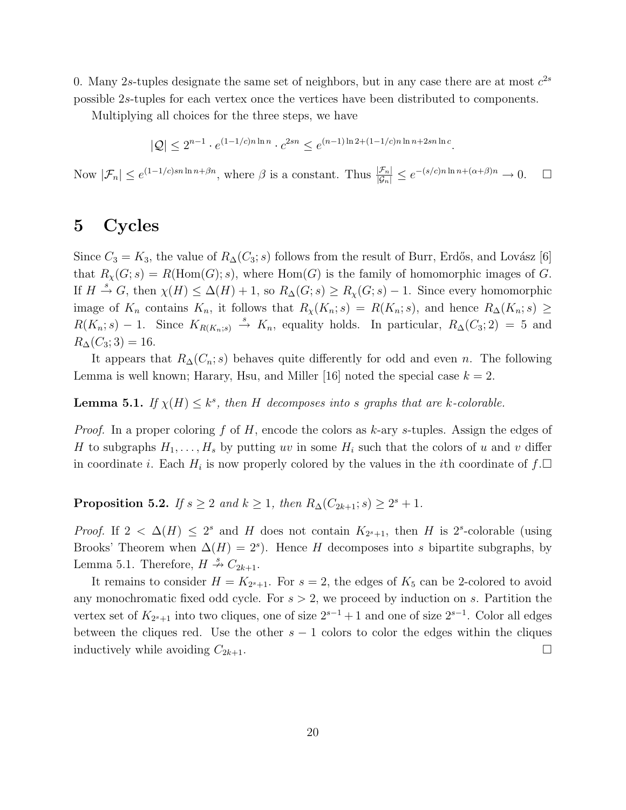0. Many 2s-tuples designate the same set of neighbors, but in any case there are at most  $c^{2s}$ 

possible 2s-tuples for each vertex once the vertices have been distributed to components.

Multiplying all choices for the three steps, we have

$$
|Q| \le 2^{n-1} \cdot e^{(1-1/c)n \ln n} \cdot c^{2sn} \le e^{(n-1)\ln 2 + (1-1/c)n \ln n + 2sn \ln c}.
$$

Now  $|\mathcal{F}_n| \leq e^{(1-1/c)sn\ln n + \beta n}$ , where  $\beta$  is a constant. Thus  $\frac{|\mathcal{F}_n|}{|\mathcal{G}_n|} \leq e^{-(s/c)n\ln n + (\alpha + \beta)n} \to 0$ .  $\Box$ 

### 5 Cycles

Since  $C_3 = K_3$ , the value of  $R_(\mathcal{C}_3; s)$  follows from the result of Burr, Erdős, and Lovász [6] that  $R_\chi(G; s) = R(\text{Hom}(G); s)$ , where  $\text{Hom}(G)$  is the family of homomorphic images of G. If  $H \stackrel{s}{\to} G$ , then  $\chi(H) \leq \Delta(H) + 1$ , so  $R_{\Delta}(G; s) \geq R_{\chi}(G; s) - 1$ . Since every homomorphic image of  $K_n$  contains  $K_n$ , it follows that  $R_\chi(K_n; s) = R(K_n; s)$ , and hence  $R_\Delta(K_n; s) \geq$  $R(K_n; s) - 1$ . Since  $K_{R(K_n; s)} \stackrel{s}{\rightarrow} K_n$ , equality holds. In particular,  $R_{\Delta}(C_3; 2) = 5$  and  $R_{\Delta}(C_3; 3) = 16.$ 

It appears that  $R_{\Delta}(C_n; s)$  behaves quite differently for odd and even n. The following Lemma is well known; Harary, Hsu, and Miller [16] noted the special case  $k = 2$ .

# **Lemma 5.1.** *If*  $\chi(H) \leq k^s$ , then *H decomposes into s graphs that are k*-*colorable.*

*Proof.* In a proper coloring f of H, encode the colors as k-ary s-tuples. Assign the edges of H to subgraphs  $H_1, \ldots, H_s$  by putting uv in some  $H_i$  such that the colors of u and v differ in coordinate *i*. Each  $H_i$  is now properly colored by the values in the *i*th coordinate of  $f.\Box$ 

**Proposition 5.2.** *If*  $s \geq 2$  *and*  $k \geq 1$ *, then*  $R_{\Delta}(C_{2k+1}; s) \geq 2^s + 1$ *.* 

*Proof.* If  $2 < \Delta(H) \leq 2^s$  and H does not contain  $K_{2^s+1}$ , then H is  $2^s$ -colorable (using Brooks' Theorem when  $\Delta(H) = 2^s$ ). Hence H decomposes into s bipartite subgraphs, by Lemma 5.1. Therefore,  $H \stackrel{s}{\nrightarrow} C_{2k+1}$ .

It remains to consider  $H = K_{2^{s}+1}$ . For  $s = 2$ , the edges of  $K_5$  can be 2-colored to avoid any monochromatic fixed odd cycle. For  $s > 2$ , we proceed by induction on s. Partition the vertex set of  $K_{2<sup>s</sup>+1}$  into two cliques, one of size  $2<sup>s-1</sup>+1$  and one of size  $2<sup>s-1</sup>$ . Color all edges between the cliques red. Use the other  $s - 1$  colors to color the edges within the cliques inductively while avoiding  $C_{2k+1}$ .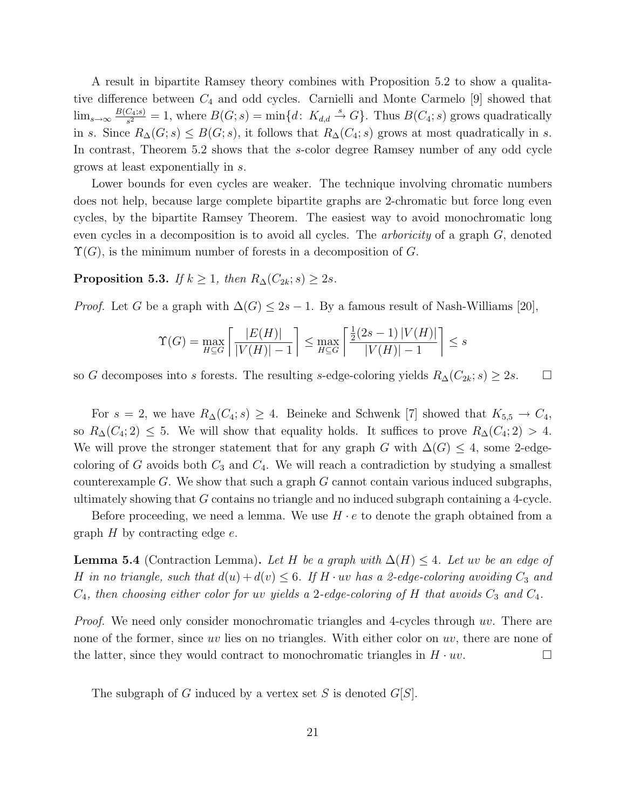A result in bipartite Ramsey theory combines with Proposition 5.2 to show a qualitative difference between  $C_4$  and odd cycles. Carnielli and Monte Carmelo [9] showed that  $\lim_{s\to\infty}\frac{B(C_4;s)}{s^2}$  $\frac{C_{4}(s)}{s^{2}} = 1$ , where  $B(G; s) = \min\{d: K_{d,d} \stackrel{s}{\to} G\}$ . Thus  $B(C_{4}; s)$  grows quadratically in s. Since  $R_{\Delta}(G; s) \leq B(G; s)$ , it follows that  $R_{\Delta}(C_4; s)$  grows at most quadratically in s. In contrast, Theorem 5.2 shows that the s-color degree Ramsey number of any odd cycle grows at least exponentially in s.

Lower bounds for even cycles are weaker. The technique involving chromatic numbers does not help, because large complete bipartite graphs are 2-chromatic but force long even cycles, by the bipartite Ramsey Theorem. The easiest way to avoid monochromatic long even cycles in a decomposition is to avoid all cycles. The *arboricity* of a graph G, denoted  $\Upsilon(G)$ , is the minimum number of forests in a decomposition of G.

Proposition 5.3. *If*  $k \geq 1$ *, then*  $R_{\Delta}(C_{2k}; s) \geq 2s$ *.* 

*Proof.* Let G be a graph with  $\Delta(G) \leq 2s - 1$ . By a famous result of Nash-Williams [20],

$$
\Upsilon(G) = \max_{H \subseteq G} \left[ \frac{|E(H)|}{|V(H)| - 1} \right] \le \max_{H \subseteq G} \left[ \frac{\frac{1}{2}(2s - 1)|V(H)|}{|V(H)| - 1} \right] \le s
$$

so G decomposes into s forests. The resulting s-edge-coloring yields  $R_{\Delta}(C_{2k}; s) \geq 2s$ .  $\Box$ 

For  $s = 2$ , we have  $R_{\Delta}(C_4; s) \geq 4$ . Beineke and Schwenk [7] showed that  $K_{5,5} \to C_4$ , so  $R_{\Delta}(C_4; 2) \leq 5$ . We will show that equality holds. It suffices to prove  $R_{\Delta}(C_4; 2) > 4$ . We will prove the stronger statement that for any graph G with  $\Delta(G) \leq 4$ , some 2-edgecoloring of G avoids both  $C_3$  and  $C_4$ . We will reach a contradiction by studying a smallest counterexample G. We show that such a graph  $G$  cannot contain various induced subgraphs, ultimately showing that G contains no triangle and no induced subgraph containing a 4-cycle.

Before proceeding, we need a lemma. We use  $H \cdot e$  to denote the graph obtained from a graph  $H$  by contracting edge  $e$ .

**Lemma 5.4** (Contraction Lemma). Let H be a graph with  $\Delta(H)$  ≤ 4. Let uv be an edge of H in no triangle, such that  $d(u) + d(v) \leq 6$ . If H · uv has a 2-edge-coloring avoiding  $C_3$  and  $C_4$ , then choosing either color for uv yields a 2-edge-coloring of H that avoids  $C_3$  and  $C_4$ .

*Proof.* We need only consider monochromatic triangles and 4-cycles through uv. There are none of the former, since uv lies on no triangles. With either color on uv, there are none of the latter, since they would contract to monochromatic triangles in  $H \cdot uv$ .

The subgraph of G induced by a vertex set S is denoted  $G[S]$ .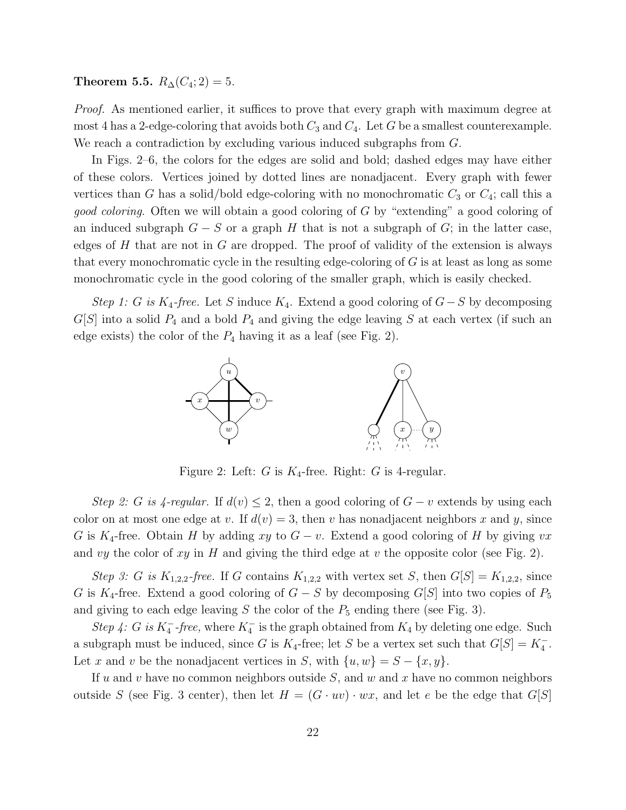Theorem 5.5.  $R_{\Delta}(C_4; 2) = 5$ .

*Proof.* As mentioned earlier, it suffices to prove that every graph with maximum degree at most 4 has a 2-edge-coloring that avoids both  $C_3$  and  $C_4$ . Let G be a smallest counterexample. We reach a contradiction by excluding various induced subgraphs from  $G$ .

In Figs. 2–6, the colors for the edges are solid and bold; dashed edges may have either of these colors. Vertices joined by dotted lines are nonadjacent. Every graph with fewer vertices than G has a solid/bold edge-coloring with no monochromatic  $C_3$  or  $C_4$ ; call this a *good coloring*. Often we will obtain a good coloring of G by "extending" a good coloring of an induced subgraph  $G - S$  or a graph H that is not a subgraph of G; in the latter case, edges of  $H$  that are not in  $G$  are dropped. The proof of validity of the extension is always that every monochromatic cycle in the resulting edge-coloring of  $G$  is at least as long as some monochromatic cycle in the good coloring of the smaller graph, which is easily checked.

*Step 1:* G *is* K<sub>4</sub>-free. Let S induce K<sub>4</sub>. Extend a good coloring of  $G-S$  by decomposing  $G[S]$  into a solid  $P_4$  and a bold  $P_4$  and giving the edge leaving S at each vertex (if such an edge exists) the color of the  $P_4$  having it as a leaf (see Fig. 2).



Figure 2: Left: G is  $K_4$ -free. Right: G is 4-regular.

*Step 2: G is 4-regular.* If  $d(v) \leq 2$ , then a good coloring of  $G - v$  extends by using each color on at most one edge at v. If  $d(v) = 3$ , then v has nonadjacent neighbors x and y, since G is K<sub>4</sub>-free. Obtain H by adding xy to  $G - v$ . Extend a good coloring of H by giving vx and vy the color of xy in H and giving the third edge at v the opposite color (see Fig. 2).

*Step 3:* G is  $K_{1,2,2}$ -free. If G contains  $K_{1,2,2}$  with vertex set S, then  $G[S] = K_{1,2,2}$ , since G is K<sub>4</sub>-free. Extend a good coloring of  $G - S$  by decomposing G[S] into two copies of  $P_5$ and giving to each edge leaving S the color of the  $P_5$  ending there (see Fig. 3).

*Step 4: G is*  $K_4^-$ -*free*, where  $K_4^-$  is the graph obtained from  $K_4$  by deleting one edge. Such a subgraph must be induced, since G is  $K_4$ -free; let S be a vertex set such that  $G[S] = K_4^-$ . Let x and v be the nonadjacent vertices in S, with  $\{u, w\} = S - \{x, y\}.$ 

If u and v have no common neighbors outside  $S$ , and w and x have no common neighbors outside S (see Fig. 3 center), then let  $H = (G \cdot uv) \cdot wx$ , and let e be the edge that  $G[S]$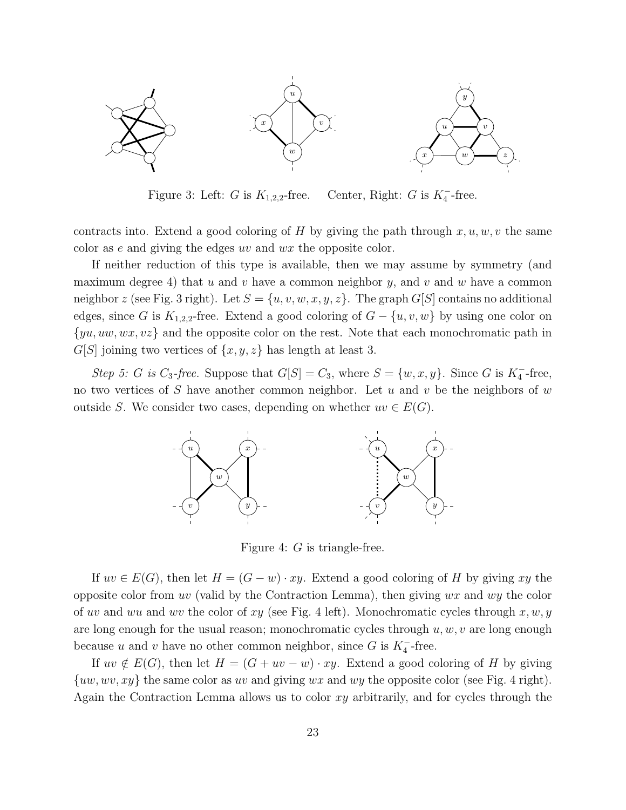

Figure 3: Left: G is  $K_{1,2,2}$ -free.  $\frac{1}{4}$ -free.

contracts into. Extend a good coloring of H by giving the path through  $x, u, w, v$  the same color as e and giving the edges uv and wx the opposite color.

If neither reduction of this type is available, then we may assume by symmetry (and maximum degree 4) that u and v have a common neighbor y, and v and w have a common neighbor z (see Fig. 3 right). Let  $S = \{u, v, w, x, y, z\}$ . The graph  $G[S]$  contains no additional edges, since G is  $K_{1,2,2}$ -free. Extend a good coloring of  $G - \{u, v, w\}$  by using one color on  $\{yu, uw, wx, vz\}$  and the opposite color on the rest. Note that each monochromatic path in  $G[S]$  joining two vertices of  $\{x,y,z\}$  has length at least 3.

*Step 5: G is*  $C_3$ -*free.* Suppose that  $G[S] = C_3$ , where  $S = \{w, x, y\}$ . Since *G* is  $K_4^-$ -free, no two vertices of S have another common neighbor. Let  $u$  and  $v$  be the neighbors of  $w$ outside S. We consider two cases, depending on whether  $uv \in E(G)$ .



Figure 4: G is triangle-free.

If  $uv \in E(G)$ , then let  $H = (G - w) \cdot xy$ . Extend a good coloring of H by giving xy the opposite color from uv (valid by the Contraction Lemma), then giving  $wx$  and  $wy$  the color of uv and wu and wv the color of xy (see Fig. 4 left). Monochromatic cycles through  $x, w, y$ are long enough for the usual reason; monochromatic cycles through  $u, w, v$  are long enough because u and v have no other common neighbor, since  $G$  is  $K_4^-$ -free.

If  $uv \notin E(G)$ , then let  $H = (G + uv - w) \cdot xy$ . Extend a good coloring of H by giving  $\{uw, wv, xy\}$  the same color as uv and giving wx and wy the opposite color (see Fig. 4 right). Again the Contraction Lemma allows us to color  $xy$  arbitrarily, and for cycles through the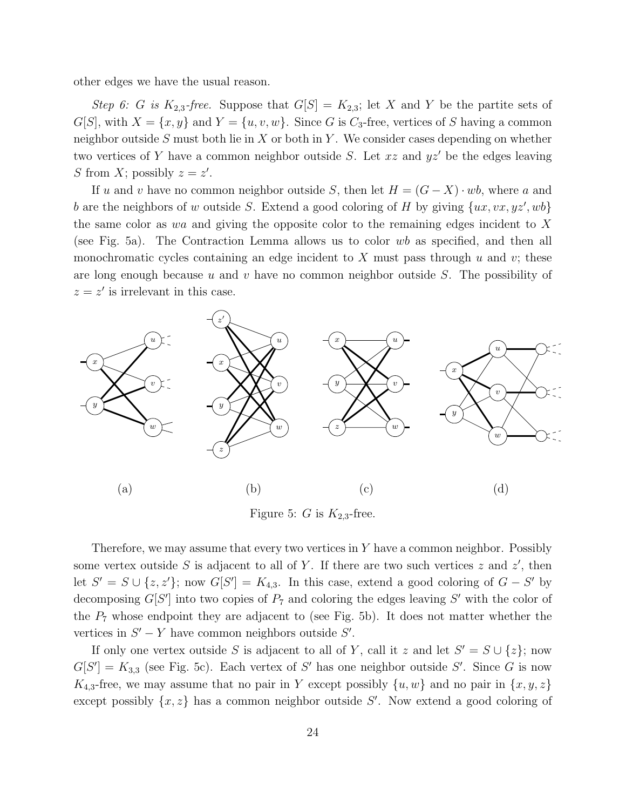other edges we have the usual reason.

*Step 6:* G *is*  $K_{2,3}$ -free. Suppose that  $G[S] = K_{2,3}$ ; let X and Y be the partite sets of  $G[S]$ , with  $X = \{x, y\}$  and  $Y = \{u, v, w\}$ . Since G is  $C_3$ -free, vertices of S having a common neighbor outside  $S$  must both lie in  $X$  or both in  $Y$ . We consider cases depending on whether two vertices of Y have a common neighbor outside S. Let  $xz$  and  $yz'$  be the edges leaving S from X; possibly  $z = z'$ .

If u and v have no common neighbor outside S, then let  $H = (G - X) \cdot wb$ , where a and b are the neighbors of w outside S. Extend a good coloring of H by giving  $\{ux, vx, yz', wb\}$ the same color as wa and giving the opposite color to the remaining edges incident to X (see Fig. 5a). The Contraction Lemma allows us to color wb as specified, and then all monochromatic cycles containing an edge incident to  $X$  must pass through  $u$  and  $v$ ; these are long enough because u and v have no common neighbor outside  $S$ . The possibility of  $z = z'$  is irrelevant in this case.



Figure 5: G is  $K_{2,3}$ -free.

Therefore, we may assume that every two vertices in  $Y$  have a common neighbor. Possibly some vertex outside S is adjacent to all of Y. If there are two such vertices z and  $z'$ , then let  $S' = S \cup \{z, z'\}$ ; now  $G[S'] = K_{4,3}$ . In this case, extend a good coloring of  $G - S'$  by decomposing  $G[S']$  into two copies of  $P_7$  and coloring the edges leaving  $S'$  with the color of the  $P_7$  whose endpoint they are adjacent to (see Fig. 5b). It does not matter whether the vertices in  $S' - Y$  have common neighbors outside  $S'$ .

If only one vertex outside S is adjacent to all of Y, call it z and let  $S' = S \cup \{z\}$ ; now  $G[S'] = K_{3,3}$  (see Fig. 5c). Each vertex of S' has one neighbor outside S'. Since G is now  $K_{4,3}$ -free, we may assume that no pair in Y except possibly  $\{u,w\}$  and no pair in  $\{x,y,z\}$ except possibly  $\{x, z\}$  has a common neighbor outside S'. Now extend a good coloring of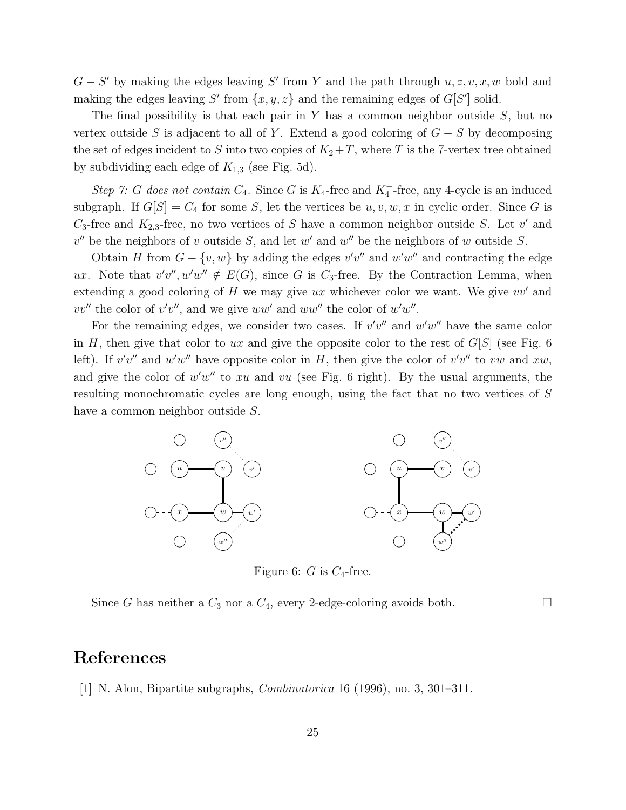$G - S'$  by making the edges leaving S' from Y and the path through  $u, z, v, x, w$  bold and making the edges leaving  $S'$  from  $\{x, y, z\}$  and the remaining edges of  $G[S']$  solid.

The final possibility is that each pair in  $Y$  has a common neighbor outside  $S$ , but no vertex outside S is adjacent to all of Y. Extend a good coloring of  $G - S$  by decomposing the set of edges incident to S into two copies of  $K_2+T$ , where T is the 7-vertex tree obtained by subdividing each edge of  $K_{1,3}$  (see Fig. 5d).

*Step 7:* G does not contain  $C_4$ . Since G is  $K_4$ -free and  $K_4^-$ -free, any 4-cycle is an induced subgraph. If  $G[S] = C_4$  for some S, let the vertices be  $u, v, w, x$  in cyclic order. Since G is  $C_3$ -free and  $K_{2,3}$ -free, no two vertices of S have a common neighbor outside S. Let v' and  $v''$  be the neighbors of v outside S, and let w' and w'' be the neighbors of w outside S.

Obtain H from  $G - \{v, w\}$  by adding the edges  $v'v''$  and  $w'w''$  and contracting the edge ux. Note that  $v'v''$ ,  $w'w'' \notin E(G)$ , since G is C<sub>3</sub>-free. By the Contraction Lemma, when extending a good coloring of  $H$  we may give ux whichever color we want. We give  $vv'$  and  $vv''$  the color of  $v'v''$ , and we give  $ww'$  and  $ww''$  the color of  $w'w''$ .

For the remaining edges, we consider two cases. If  $v'v''$  and  $w'w''$  have the same color in H, then give that color to ux and give the opposite color to the rest of  $G[S]$  (see Fig. 6 left). If  $v'v''$  and  $w'w''$  have opposite color in H, then give the color of  $v'v''$  to vw and xw, and give the color of  $w'w''$  to xu and vu (see Fig. 6 right). By the usual arguments, the resulting monochromatic cycles are long enough, using the fact that no two vertices of S have a common neighbor outside S.



Figure 6:  $G$  is  $C_4$ -free.

Since G has neither a  $C_3$  nor a  $C_4$ , every 2-edge-coloring avoids both.  $\Box$ 

#### References

[1] N. Alon, Bipartite subgraphs, *Combinatorica* 16 (1996), no. 3, 301–311.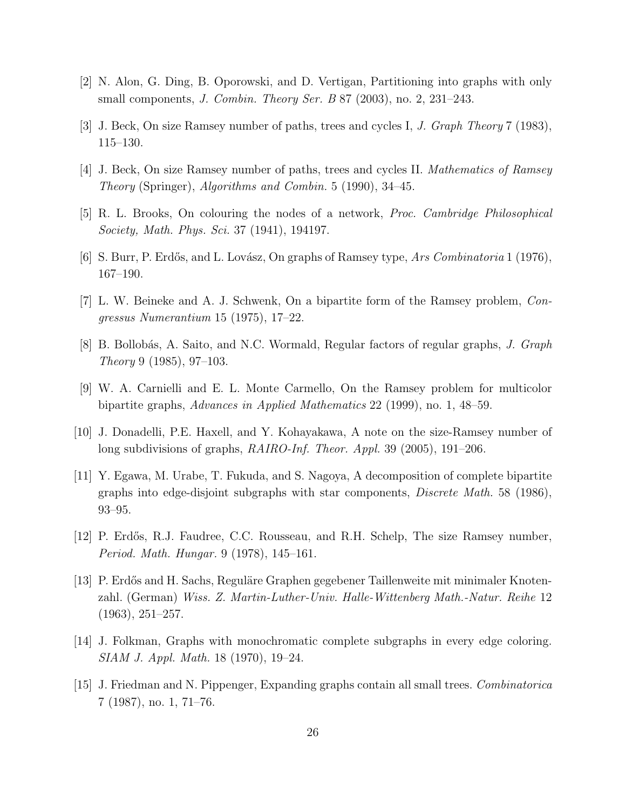- [2] N. Alon, G. Ding, B. Oporowski, and D. Vertigan, Partitioning into graphs with only small components, *J. Combin. Theory Ser. B* 87 (2003), no. 2, 231–243.
- [3] J. Beck, On size Ramsey number of paths, trees and cycles I, *J. Graph Theory* 7 (1983), 115–130.
- [4] J. Beck, On size Ramsey number of paths, trees and cycles II. *Mathematics of Ramsey Theory* (Springer), *Algorithms and Combin.* 5 (1990), 34–45.
- [5] R. L. Brooks, On colouring the nodes of a network, *Proc. Cambridge Philosophical Society, Math. Phys. Sci.* 37 (1941), 194197.
- [6] S. Burr, P. Erd˝os, and L. Lov´asz, On graphs of Ramsey type, *Ars Combinatoria* 1 (1976), 167–190.
- [7] L. W. Beineke and A. J. Schwenk, On a bipartite form of the Ramsey problem, *Congressus Numerantium* 15 (1975), 17–22.
- [8] B. Bollob´as, A. Saito, and N.C. Wormald, Regular factors of regular graphs, *J. Graph Theory* 9 (1985), 97–103.
- [9] W. A. Carnielli and E. L. Monte Carmello, On the Ramsey problem for multicolor bipartite graphs, *Advances in Applied Mathematics* 22 (1999), no. 1, 48–59.
- [10] J. Donadelli, P.E. Haxell, and Y. Kohayakawa, A note on the size-Ramsey number of long subdivisions of graphs, *RAIRO-Inf. Theor. Appl.* 39 (2005), 191–206.
- [11] Y. Egawa, M. Urabe, T. Fukuda, and S. Nagoya, A decomposition of complete bipartite graphs into edge-disjoint subgraphs with star components, *Discrete Math.* 58 (1986), 93–95.
- [12] P. Erdős, R.J. Faudree, C.C. Rousseau, and R.H. Schelp, The size Ramsey number, *Period. Math. Hungar.* 9 (1978), 145–161.
- [13] P. Erd˝os and H. Sachs, Regul¨are Graphen gegebener Taillenweite mit minimaler Knotenzahl. (German) *Wiss. Z. Martin-Luther-Univ. Halle-Wittenberg Math.-Natur. Reihe* 12 (1963), 251–257.
- [14] J. Folkman, Graphs with monochromatic complete subgraphs in every edge coloring. *SIAM J. Appl. Math.* 18 (1970), 19–24.
- [15] J. Friedman and N. Pippenger, Expanding graphs contain all small trees. *Combinatorica* 7 (1987), no. 1, 71–76.